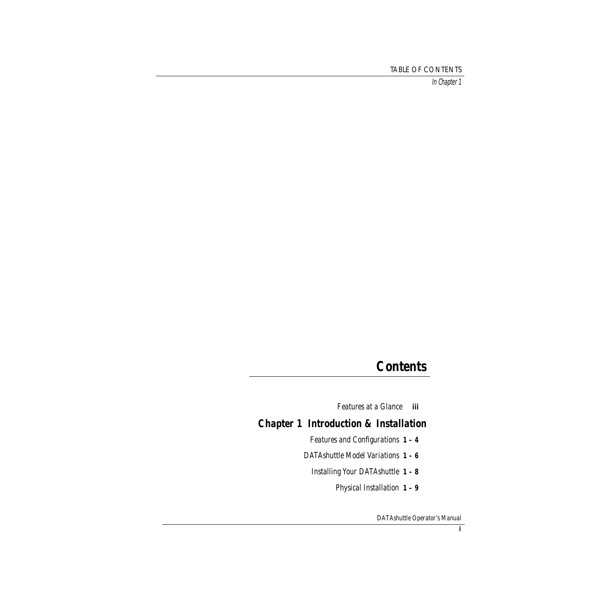In Chapter 1

## *Contents*

*Features at a Glance iii*

### *Chapter 1 Introduction & Installation*

- *Features and Configurations 1 4*
- *DATAshuttle Model Variations 1 6*
	- *Installing Your DATAshuttle 1 8*
		- *Physical Installation 1 9*

*DATAshuttle Operator's Manual*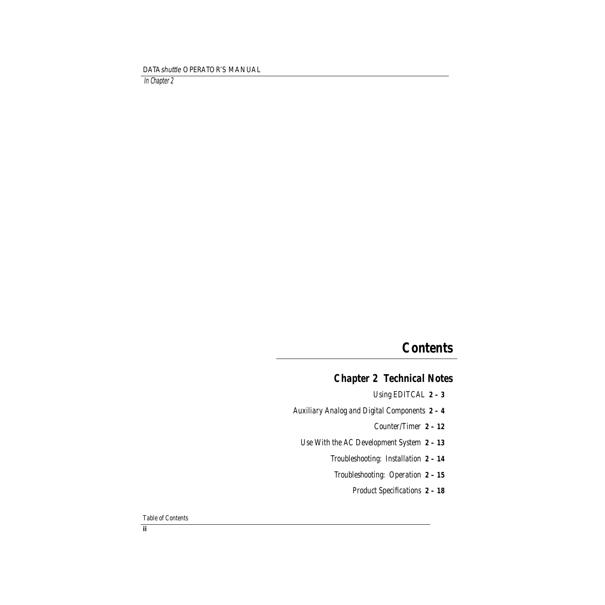In Chapter 2

## *Contents*

### *Chapter 2 Technical Notes*

- *Using EDITCAL 2 3*
- *Auxiliary Analog and Digital Components 2 4*
	- *Counter/Timer 2 12*
	- *Use With the AC Development System 2 13*
		- *Troubleshooting: Installation 2 14*
			- *Troubleshooting: Operation 2 15*
				- *Product Specifications 2 18*

*Table of Contents*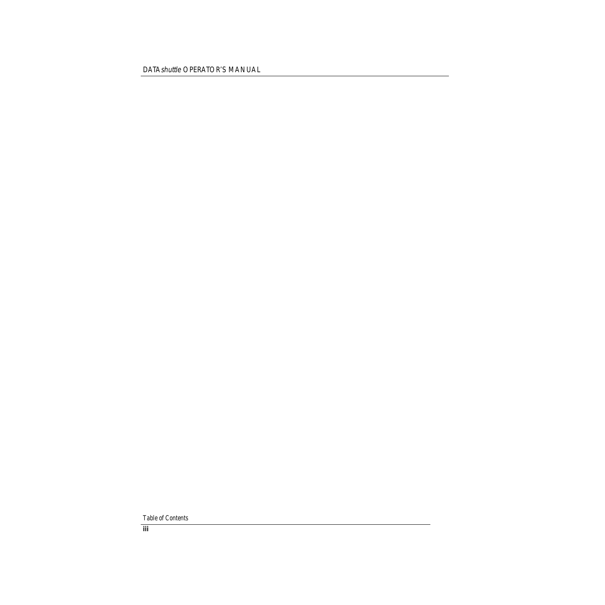*Table of Contents*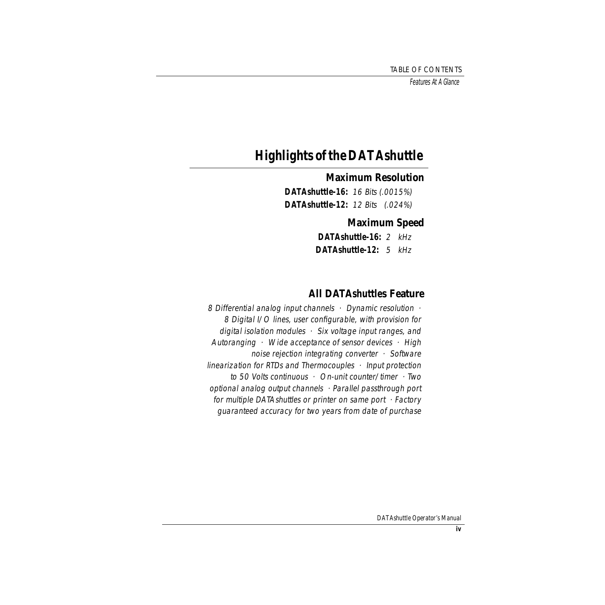# *Highlights of the DATAshuttle*

### **Maximum Resolution**

*DATAshuttle-16:* 16 Bits (.0015%) *DATAshuttle-12:* 12 Bits (.024%)

### **Maximum Speed**

*DATAshuttle-16:* 2 kHz *DATAshuttle-12:* 5 kHz

### **All DATA***shuttle***s Feature**

8 Differential analog input channels · Dynamic resolution · 8 Digital I/O lines, user configurable, with provision for digital isolation modules · Six voltage input ranges, and Autoranging · Wide acceptance of sensor devices · High noise rejection integrating converter · Software linearization for RTDs and Thermocouples · Input protection to 50 Volts continuous · On-unit counter/timer · Two optional analog output channels · Parallel passthrough port for multiple DATAshuttles or printer on same port · Factory guaranteed accuracy for two years from date of purchase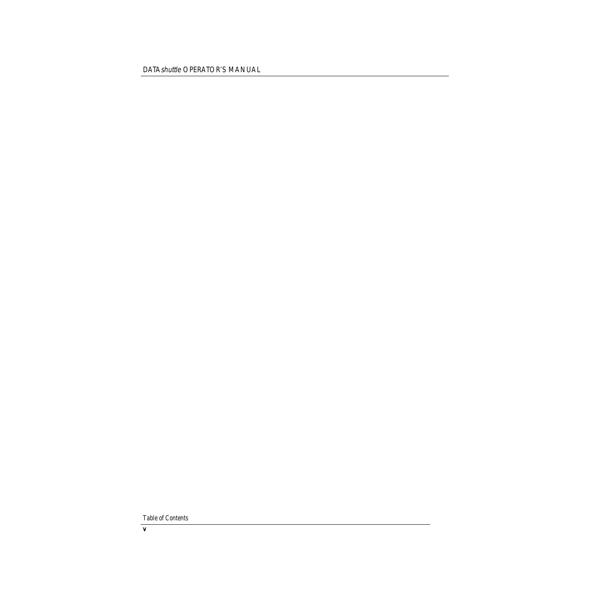#### *Table of Contents*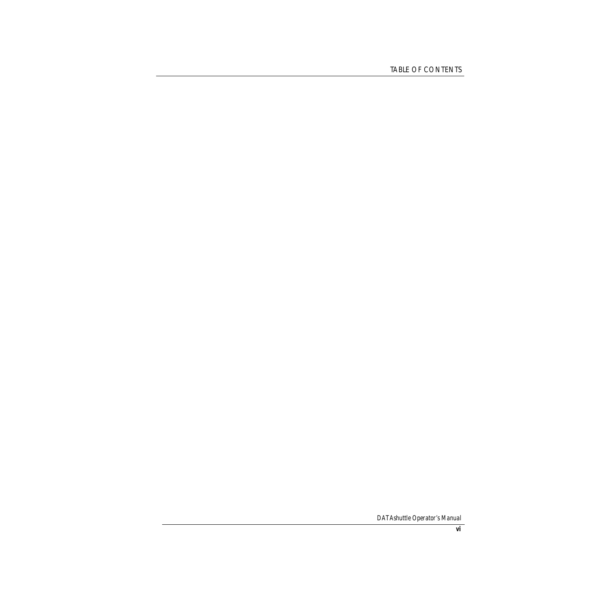*DATAshuttle Operator's Manual*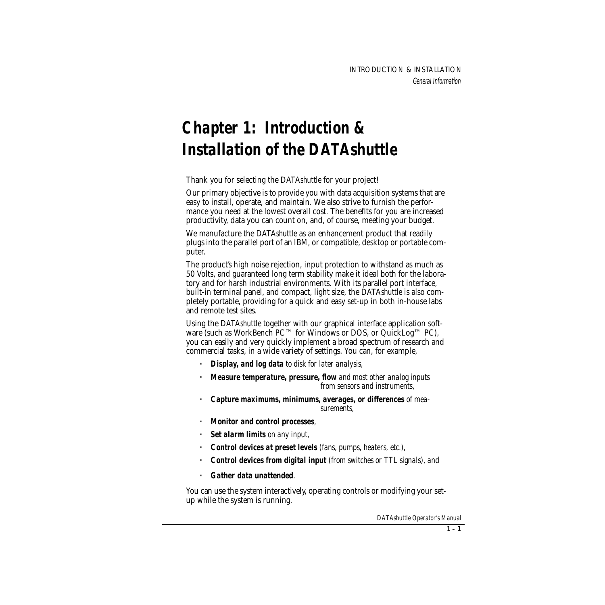General Information

# *Chapter 1: Introduction & Installation of the DATAshuttle*

Thank you for selecting the DATA*shuttle* for your project!

Our primary objective is to provide you with data acquisition systems that are easy to install, operate, and maintain. We also strive to furnish the performance you need at the lowest overall cost. The benefits for you are increased productivity, data you can count on, and, of course, meeting your budget.

We manufacture the DATA*shuttle* as an enhancement product that readily plugs into the parallel port of an IBM, or compatible, desktop or portable computer.

The product's high noise rejection, input protection to withstand as much as 50 Volts, and guaranteed long term stability make it ideal both for the laboratory and for harsh industrial environments. With its parallel port interface, built-in terminal panel, and compact, light size, the DATA*shuttle* is also completely portable, providing for a quick and easy set-up in both in-house labs and remote test sites.

Using the DATA*shuttle* together with our graphical interface application software (such as WorkBench PC™ for Windows or DOS, or QuickLog™ PC), you can easily and very quickly implement a broad spectrum of research and commercial tasks, in a wide variety of settings. You can, for example,

- *· Display, and log data to disk for later analysis,*
- *· Measure temperature, pressure, flow and most other analog inputs from sensors and instruments,*
- *· Capture maximums, minimums, averages, or differences of measurements,*
- *· Monitor and control processes,*
- *· Set alarm limits on any input,*
- *· Control devices at preset levels (fans, pumps, heaters, etc.),*
- *· Control devices from digital input (from switches or TTL signals), and*
- *· Gather data unattended.*

You can use the system interactively, operating controls or modifying your setup while the system is running.

*DATAshuttle Operator's Manual*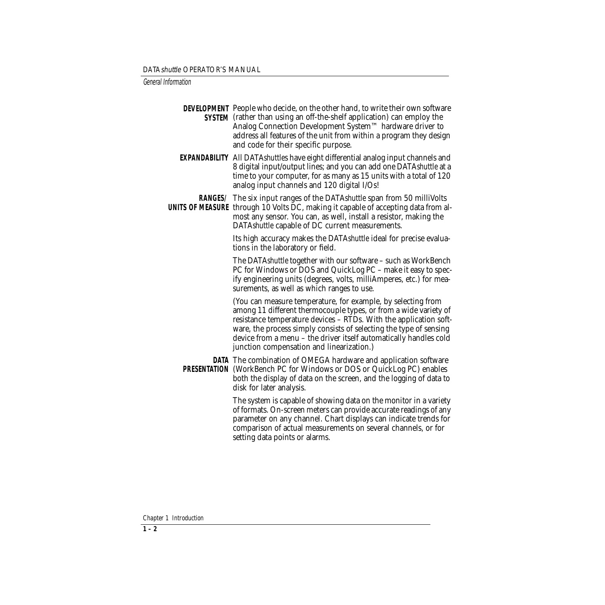General Information

| DEVELOPMENT People who decide, on the other hand, to write their own software |
|-------------------------------------------------------------------------------|
| <b>SYSTEM</b> (rather than using an off-the-shelf application) can employ the |
| Analog Connection Development System™ hardware driver to                      |
| address all features of the unit from within a program they design            |
| and code for their specific purpose.                                          |

**EXPANDABILITY** All DATA*shuttle*s have eight differential analog input channels and 8 digital input/output lines; and you can add one DATA*shuttle* at a time to your computer, for as many as 15 units with a total of 120 analog input channels and 120 digital I/Os!

**RANGES/** The six input ranges of the DATA*shuttle* span from 50 milliVolts **UNITS OF MEASURE** through 10 Volts DC, making it capable of accepting data from almost any sensor. You can, as well, install a resistor, making the

DATA*shuttle* capable of DC current measurements.

Its high accuracy makes the DATA*shuttle* ideal for precise evaluations in the laboratory or field.

The DATA*shuttle* together with our software – such as WorkBench PC for Windows or DOS and QuickLog PC – make it easy to specify engineering units (degrees, volts, milliAmperes, etc.) for measurements, as well as which ranges to use.

(You can measure temperature, for example, by selecting from among 11 different thermocouple types, or from a wide variety of resistance temperature devices – RTDs. With the application software, the process simply consists of selecting the type of sensing device from a menu – the driver itself automatically handles cold junction compensation and linearization.)

**DATA** The combination of OMEGA hardware and application software **PRESENTATION** (WorkBench PC for Windows or DOS or QuickLog PC) enables both the display of data on the screen, and the logging of data to disk for later analysis.

> The system is capable of showing data on the monitor in a variety of formats. On-screen meters can provide accurate readings of any parameter on any channel. Chart displays can indicate trends for comparison of actual measurements on several channels, or for setting data points or alarms.

*Chapter 1 Introduction*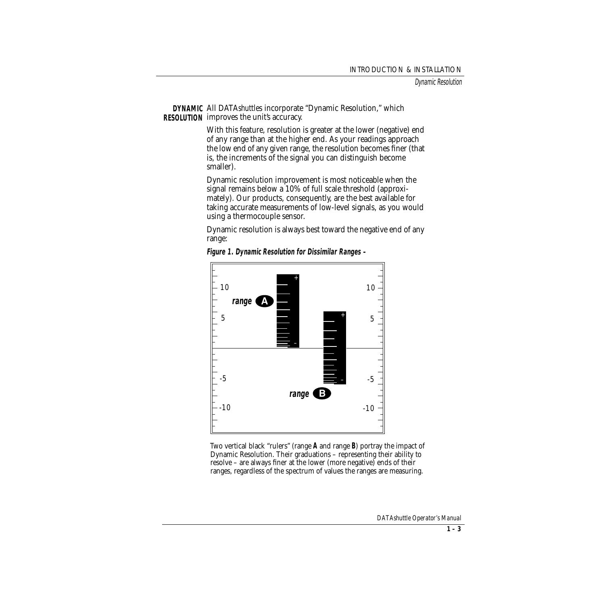Dynamic Resolution

All DATA*shuttle*s incorporate "Dynamic Resolution," which **DYNAMIC RESOLUTION** improves the unit's accuracy.

> With this feature, resolution is greater at the lower (negative) end of any range than at the higher end. As your readings approach the low end of any given range, the resolution becomes finer (that is, the increments of the signal you can distinguish become smaller).

> Dynamic resolution improvement is most noticeable when the signal remains below a 10% of full scale threshold (approximately). Our products, consequently, are the best available for taking accurate measurements of low-level signals, as you would using a thermocouple sensor.

> Dynamic resolution is always best toward the negative end of any range:



**Figure 1. Dynamic Resolution for Dissimilar Ranges –**

Two vertical black "rulers" (range **A** and range **B**) portray the impact of Dynamic Resolution. Their graduations – representing their ability to resolve – are always finer at the lower (more negative) ends of their ranges, regardless of the spectrum of values the ranges are measuring.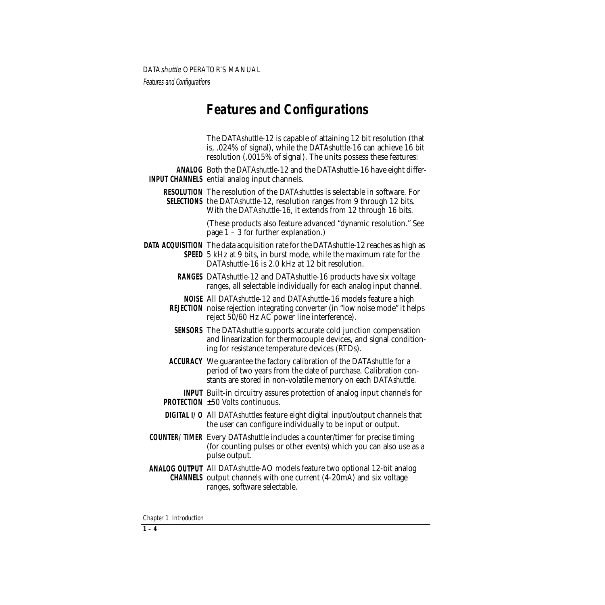Features and Configurations

# *Features and Configurations*

| The DATAshuttle-12 is capable of attaining 12 bit resolution (that<br>is, .024% of signal), while the DATAshuttle-16 can achieve 16 bit<br>resolution (.0015% of signal). The units possess these features:                              |
|------------------------------------------------------------------------------------------------------------------------------------------------------------------------------------------------------------------------------------------|
| <b>ANALOG</b> Both the DATA shuttle-12 and the DATA shuttle-16 have eight differ-<br><b>INPUT CHANNELS</b> ential analog input channels.                                                                                                 |
| <b>RESOLUTION</b> The resolution of the DATA shuttles is selectable in software. For<br><b>SELECTIONS</b> the DATA shuttle-12, resolution ranges from 9 through 12 bits.<br>With the DATAshuttle-16, it extends from 12 through 16 bits. |
| (These products also feature advanced "dynamic resolution." See<br>page $1 - 3$ for further explanation.)                                                                                                                                |
| <b>DATA ACQUISITION</b> The data acquisition rate for the DATA <i>shuttle</i> -12 reaches as high as<br><b>SPEED</b> 5 kHz at 9 bits, in burst mode, while the maximum rate for the<br>DATAshuttle-16 is 2.0 kHz at 12 bit resolution.   |
| RANGES DATAshuttle-12 and DATAshuttle-16 products have six voltage<br>ranges, all selectable individually for each analog input channel.                                                                                                 |
| NOISE All DATAshuttle-12 and DATAshuttle-16 models feature a high<br><b>REJECTION</b> noise rejection integrating converter (in "low noise mode" it helps<br>reject 50/60 Hz AC power line interference).                                |
| <b>SENSORS</b> The DATA shuttle supports accurate cold junction compensation<br>and linearization for thermocouple devices, and signal condition-<br>ing for resistance temperature devices (RTDs).                                      |
| <b>ACCURACY</b> We guarantee the factory calibration of the DATA shuttle for a<br>period of two years from the date of purchase. Calibration con-<br>stants are stored in non-volatile memory on each DATAshuttle.                       |
| <b>INPUT</b> Built-in circuitry assures protection of analog input channels for<br><b>PROTECTION</b> $\pm 50$ Volts continuous.                                                                                                          |
| <b>DIGITAL I/O</b> All DATAshuttles feature eight digital input/output channels that<br>the user can configure individually to be input or output.                                                                                       |
| <b>COUNTER/TIMER</b> Every DATA shuttle includes a counter/timer for precise timing<br>(for counting pulses or other events) which you can also use as a<br>pulse output.                                                                |
| <b>ANALOG OUTPUT</b> All DATAshuttle-AO models feature two optional 12-bit analog<br><b>CHANNELS</b> output channels with one current (4-20mA) and six voltage<br>ranges, software selectable.                                           |

*Chapter 1 Introduction*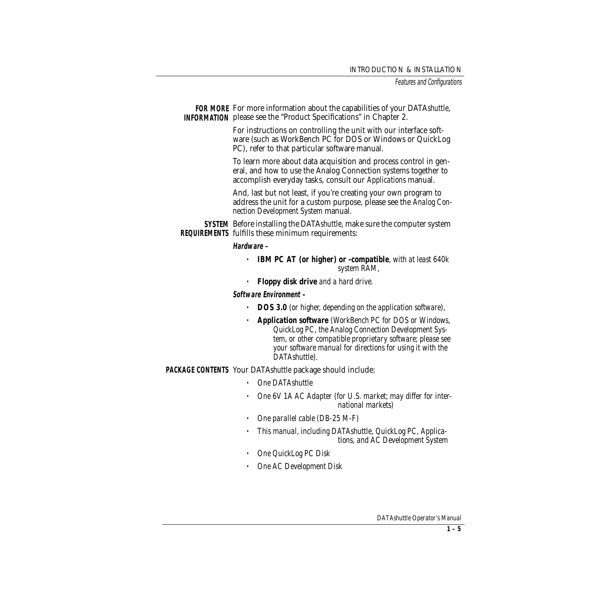For more information about the capabilities of your DATA*shuttle*, **FOR MORE INFORMATION** please see the "Product Specifications" in Chapter 2.

> For instructions on controlling the unit with our interface software (such as WorkBench PC for DOS or Windows or QuickLog PC), refer to that particular software manual.

> To learn more about data acquisition and process control in general, and how to use the Analog Connection systems together to accomplish everyday tasks, consult our *Applications* manual.

And, last but not least, if you're creating your own program to address the unit for a custom purpose, please see the *Analog Connection Development System* manual*.*

Before installing the DATA*shuttle*, make sure the computer system **SYSTEM REQUIREMENTS** fulfills these minimum requirements:

#### **Hardware –**

- *· IBM PC AT (or higher) or -compatible, with at least 640k system RAM,*
- *· Floppy disk drive and a hard drive.*

#### **Software Environment –**

- *· DOS 3.0 (or higher, depending on the application software),*
	- *· Application software (WorkBench PC for DOS or Windows, QuickLog PC, the Analog Connection Development System, or other compatible proprietary software; please see your software manual for directions for using it with the DATAshuttle).*

PACKAGE CONTENTS Your DATAshuttle package should include:

- *· One DATAshuttle*
- *· One 6V 1A AC Adapter (for U.S. market; may differ for international markets)*
- *· One parallel cable (DB-25 M-F)*
- *· This manual, including DATAshuttle, QuickLog PC, Applications, and AC Development System*
- *· One QuickLog PC Disk*
- *· One AC Development Disk*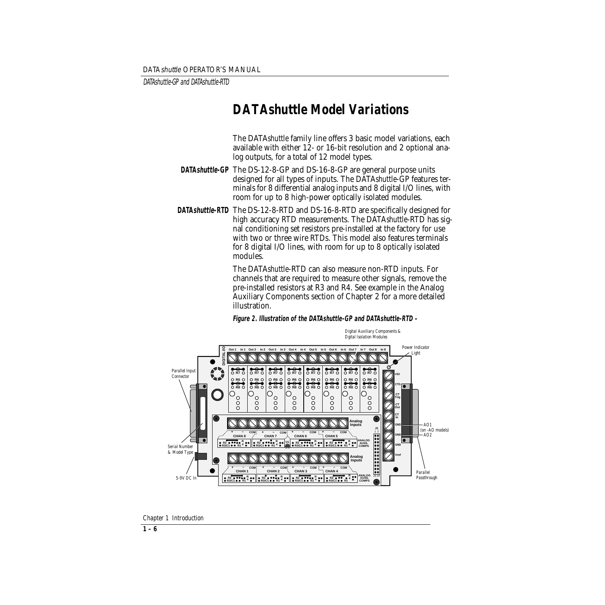DATAshuttle-GP and DATAshuttle-RTD

# *DATAshuttle Model Variations*

The DATA*shuttle* family line offers 3 basic model variations, each available with either 12- or 16-bit resolution and 2 optional analog outputs, for a total of 12 model types.

- **DATA***shuttle***-GP** The DS-12-8-GP and DS-16-8-GP are general purpose units designed for all types of inputs. The DATA*shuttle*-GP features terminals for 8 differential analog inputs and 8 digital I/O lines, with room for up to 8 high-power optically isolated modules.
- **DATA<sub>shuttle</sub>-RTD** The DS-12-8-RTD and DS-16-8-RTD are specifically designed for high accuracy RTD measurements. The DATA*shuttle*-RTD has signal conditioning set resistors pre-installed at the factory for use with two or three wire RTDs. This model also features terminals for 8 digital I/O lines, with room for up to 8 optically isolated modules.

The DATA*shuttle*-RTD can also measure non-RTD inputs. For channels that are required to measure other signals, remove the pre-installed resistors at R3 and R4. See example in the Analog Auxiliary Components section of Chapter 2 for a more detailed illustration.



**Figure 2. Illustration of the DATAshuttle-GP and DATAshuttle-RTD –**

#### *Chapter 1 Introduction*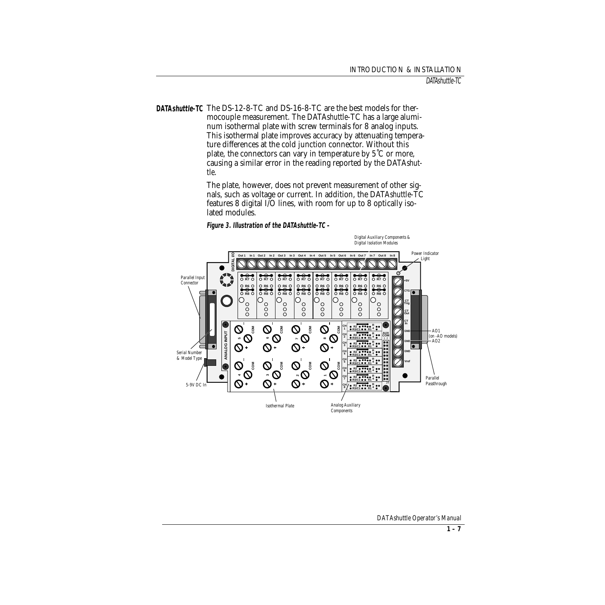DATAshuttle-TC

**DATA***shuttle***-TC** The DS-12-8-TC and DS-16-8-TC are the best models for thermocouple measurement. The DATA*shuttle*-TC has a large aluminum isothermal plate with screw terminals for 8 analog inputs. This isothermal plate improves accuracy by attenuating temperature differences at the cold junction connector. Without this plate, the connectors can vary in temperature by 5˚C or more, causing a similar error in the reading reported by the DATA*shuttle*.

> The plate, however, does not prevent measurement of other signals, such as voltage or current. In addition, the DATA*shuttle*-TC features 8 digital I/O lines, with room for up to 8 optically isolated modules.

#### **Figure 3. Illustration of the DATAshuttle-TC –**

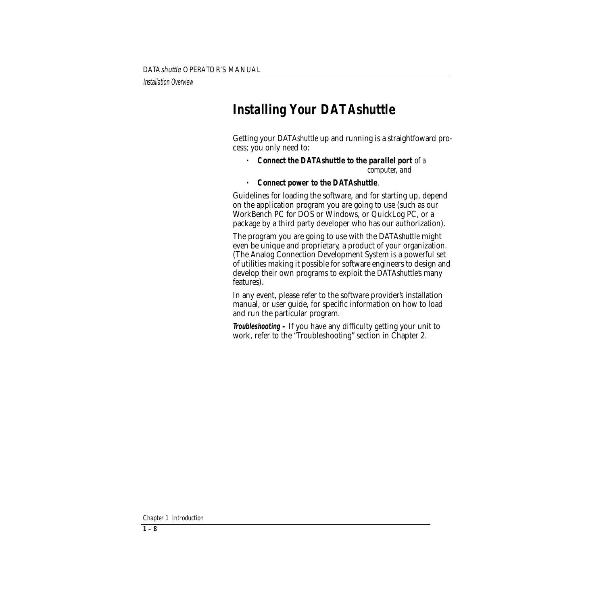Installation Overview

# *Installing Your DATAshuttle*

Getting your DATA*shuttle* up and running is a straightfoward process; you only need to:

*· Connect the DATAshuttle to the parallel port of a computer, and*

#### *· Connect power to the DATAshuttle.*

Guidelines for loading the software, and for starting up, depend on the application program you are going to use (such as our WorkBench PC for DOS or Windows, or QuickLog PC, or a package by a third party developer who has our authorization).

The program you are going to use with the DATA*shuttle* might even be unique and proprietary, a product of your organization. (The Analog Connection Development System is a powerful set of utilities making it possible for software engineers to design and develop their own programs to exploit the DATA*shuttle*'s many features).

In any event, please refer to the software provider's installation manual, or user guide, for specific information on how to load and run the particular program.

**Troubleshooting –** If you have any difficulty getting your unit to work, refer to the "Troubleshooting" section in Chapter 2.

*Chapter 1 Introduction*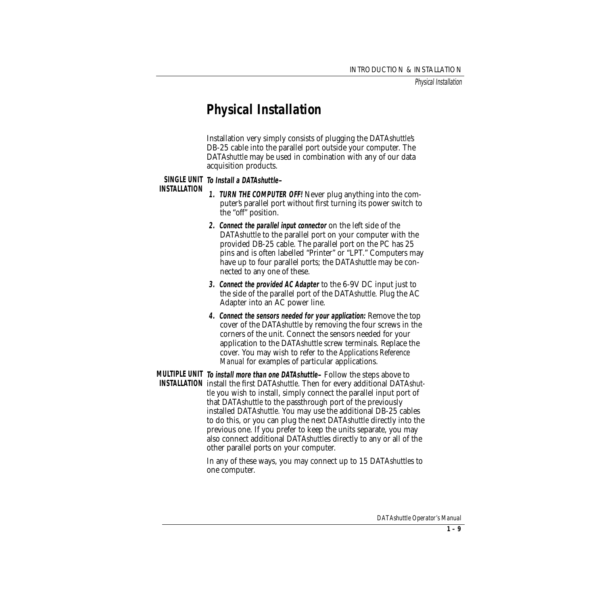Physical Installation

# *Physical Installation*

Installation very simply consists of plugging the DATA*shuttle*'s DB-25 cable into the parallel port outside your computer. The DATA*shuttle* may be used in combination with any of our data acquisition products.

#### **To Install a DATAshuttle– SINGLE UNIT INSTALLATION**

- **1. TURN THE COMPUTER OFF!** Never plug anything into the computer's parallel port without first turning its power switch to the "off" position.
- **2. Connect the parallel input connector** on the left side of the DATA*shuttle* to the parallel port on your computer with the provided DB-25 cable. The parallel port on the PC has 25 pins and is often labelled "Printer" or "LPT." Computers may have up to four parallel ports; the DATA*shuttle* may be connected to any one of these.
- **3. Connect the provided AC Adapter** to the 6-9V DC input just to the side of the parallel port of the DATA*shuttle*. Plug the AC Adapter into an AC power line.
- **4. Connect the sensors needed for your application:** Remove the top cover of the DATA*shuttle* by removing the four screws in the corners of the unit. Connect the sensors needed for your application to the DATA*shuttle* screw terminals. Replace the cover. You may wish to refer to the *Applications Reference Manual* for examples of particular applications.

**MULTIPLE UNIT** To install more than one DATAshuttle– Follow the steps above to install the first DATA*shuttle*. Then for every additional DATA*shut-***INSTALLATION** *tle* you wish to install, simply connect the parallel input port of that DATA*shuttle* to the passthrough port of the previously installed DATA*shuttle*. You may use the additional DB-25 cables to do this, or you can plug the next DATA*shuttle* directly into the previous one. If you prefer to keep the units separate, you may also connect additional DATA*shuttle*s directly to any or all of the other parallel ports on your computer.

> In any of these ways, you may connect up to 15 DATA*shuttle*s to one computer.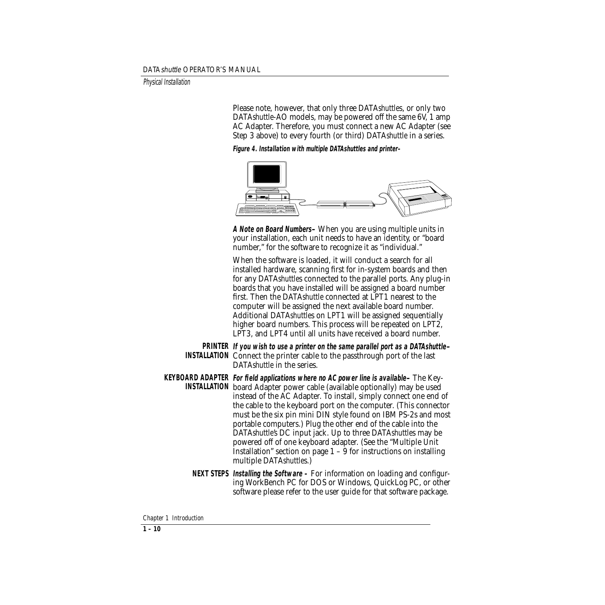Physical Installation

Please note, however, that only three DATA*shuttle*s, or only two DATA*shuttle*-AO models, may be powered off the same 6V, 1 amp AC Adapter. Therefore, you must connect a new AC Adapter (see Step 3 above) to every fourth (or third) DATA*shuttle* in a series.

**Figure 4. Installation with multiple DATAshuttles and printer–**



**A Note on Board Numbers–** When you are using multiple units in your installation, each unit needs to have an identity, or "board number," for the software to recognize it as "individual."

When the software is loaded, it will conduct a search for all installed hardware, scanning first for in-system boards and then for any DATA*shuttle*s connected to the parallel ports. Any plug-in boards that you have installed will be assigned a board number first. Then the DATA*shuttle* connected at LPT1 nearest to the computer will be assigned the next available board number. Additional DATA*shuttle*s on LPT1 will be assigned sequentially higher board numbers. This process will be repeated on LPT2, LPT3, and LPT4 until all units have received a board number.

**If you wish to use a printer on the same parallel port as a DATAshuttle– PRINTER INSTALLATION** Connect the printer cable to the passthrough port of the last DATA*shuttle* in the series.

- **KEYBOARD ADAPTER For field applications where no AC power line is available– The Key-INSTALLATION** board Adapter power cable (available optionally) may be used instead of the AC Adapter. To install, simply connect one end of the cable to the keyboard port on the computer. (This connector must be the six pin mini DIN style found on IBM PS-2s and most portable computers.) Plug the other end of the cable into the DATA*shuttle*'s DC input jack. Up to three DATA*shuttle*s may be powered off of one keyboard adapter. (See the "Multiple Unit Installation" section on page  $1 - 9$  for instructions on installing multiple DATA*shuttle*s.)
	- **Installing the Software –** For information on loading and configur-**NEXT STEPS** ing WorkBench PC for DOS or Windows, QuickLog PC, or other software please refer to the user guide for that software package.

*Chapter 1 Introduction*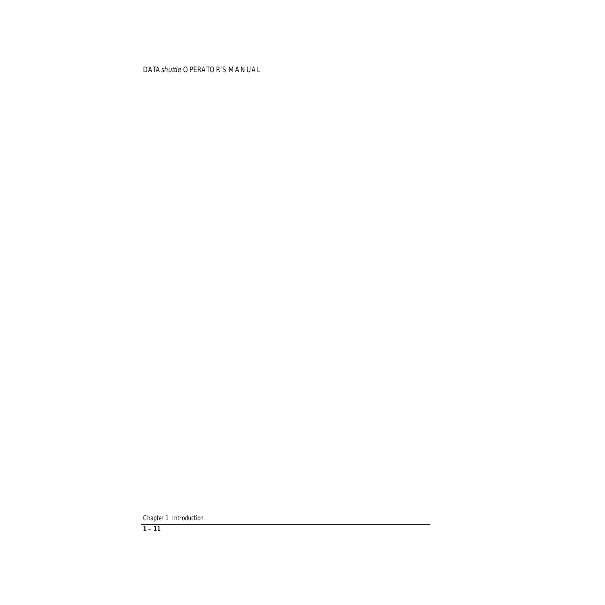*Chapter 1 Introduction*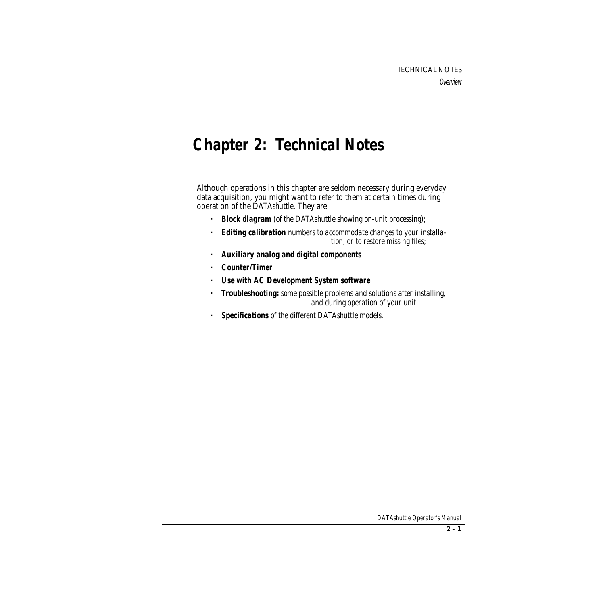**Overview** 

# *Chapter 2: Technical Notes*

Although operations in this chapter are seldom necessary during everyday data acquisition, you might want to refer to them at certain times during operation of the DATA*shuttle*. They are:

- *· Block diagram (of the DATAshuttle showing on-unit processing);*
- *· Editing calibration numbers to accommodate changes to your installation, or to restore missing files;*
- *· Auxiliary analog and digital components*
- *· Counter/Timer*
- *· Use with AC Development System software*
- *· Troubleshooting: some possible problems and solutions after installing, and during operation of your unit.*
- *· Specifications of the different DATAshuttle models.*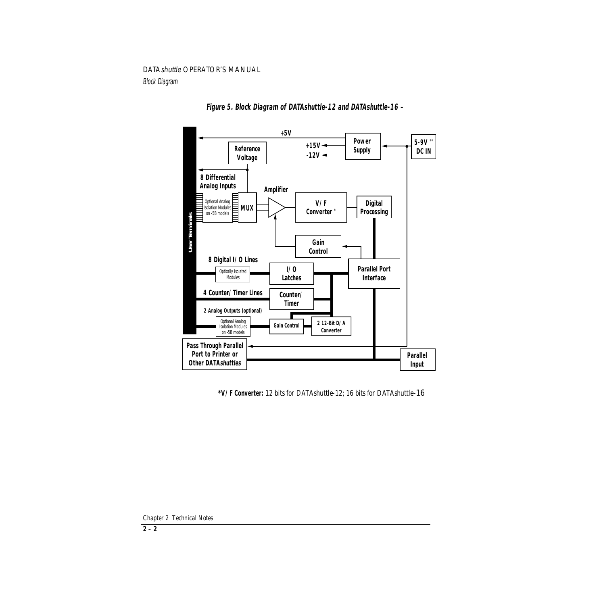#### Block Diagram



**Figure 5. Block Diagram of DATAshuttle-12 and DATAshuttle-16 –**

**\*V/F Converter:** *12 bits for DATAshuttle-12; 16 bits for DATAshuttle*-16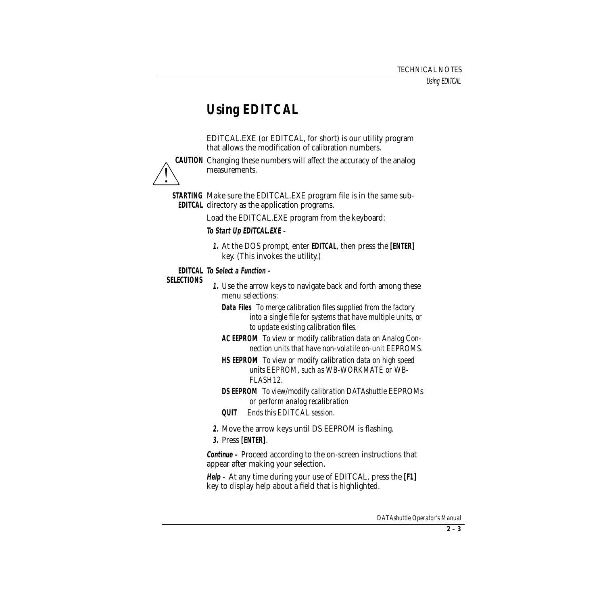### Using EDITCAL

# *Using EDITCAL*

EDITCAL.EXE (or EDITCAL, for short) is our utility program that allows the modification of calibration numbers.



**CAUTION** Changing these numbers will affect the accuracy of the analog measurements.

**STARTING** Make sure the EDITCAL.EXE program file is in the same sub-**EDITCAL** directory as the application programs.

Load the EDITCAL.EXE program from the keyboard:

#### **To Start Up EDITCAL.EXE –**

**1.** At the DOS prompt, enter **EDITCAL**, then press the **[ENTER]** key. (This invokes the utility.)

#### **To Select a Function – EDITCAL**

**SELECTIONS**

**1.** Use the arrow keys to navigate back and forth among these menu selections:

**Data Files** *To merge calibration files supplied from the factory into a single file for systems that have multiple units, or to update existing calibration files.*

- **AC EEPROM** *To view or modify calibration data on Analog Connection units that have non-volatile on-unit EEPROMS.*
- **HS EEPROM** *To view or modify calibration data on high speed units EEPROM, such as WB-WORKMATE or WB-FLASH12.*
- **DS EEPROM** *To view/modify calibration DATAshuttle* EEPROMs *or perform analog recalibration*
- **QUIT** *Ends this EDITCAL session.*
- **2.** Move the arrow keys until DS EEPROM is flashing.
- **3.** Press **[ENTER]**.

**Continue –** Proceed according to the on-screen instructions that appear after making your selection.

**Help –** At any time during your use of EDITCAL, press the **[F1]** key to display help about a field that is highlighted.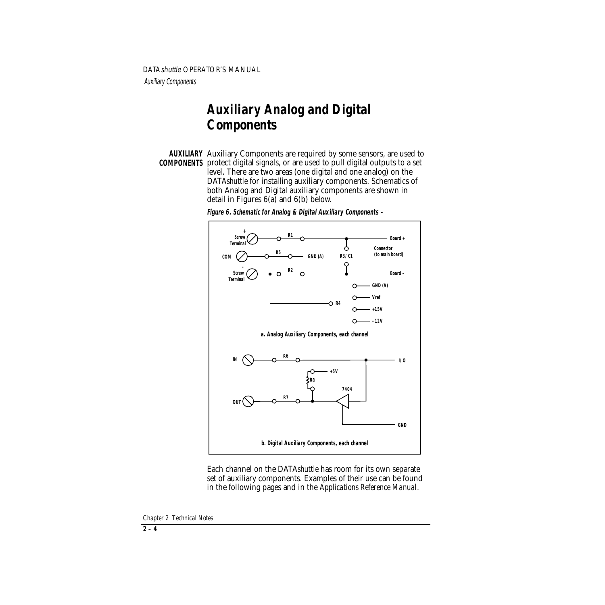Auxiliary Components

# *Auxiliary Analog and Digital Components*

Auxiliary Components are required by some sensors, are used to **AUXILIARY COMPONENTS** protect digital signals, or are used to pull digital outputs to a set level. There are two areas (one digital and one analog) on the DATA*shuttle* for installing auxiliary components. Schematics of both Analog and Digital auxiliary components are shown in detail in Figures 6(a) and 6(b) below.



**Figure 6. Schematic for Analog & Digital Auxiliary Components –**

Each channel on the DATA*shuttle* has room for its own separate set of auxiliary components. Examples of their use can be found in the following pages and in the *Applications Reference Manual*.

#### *Chapter 2 Technical Notes*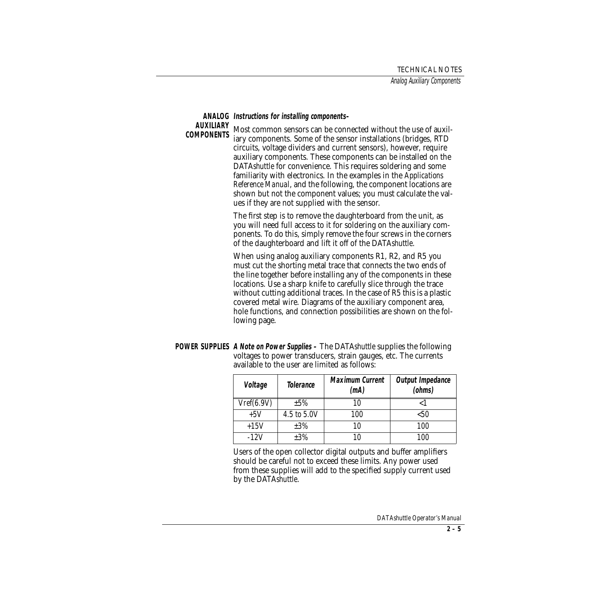### **Instructions for installing components– ANALOG**

Most common sensors can be connected without the use of auxiliary components. Some of the sensor installations (bridges, RTD circuits, voltage dividers and current sensors), however, require auxiliary components. These components can be installed on the DATA*shuttle* for convenience. This requires soldering and some familiarity with electronics. In the examples in the *Applications Reference Manual*, and the following, the component locations are shown but not the component values; you must calculate the values if they are not supplied with the sensor. **AUXILIARY COMPONENTS**

> The first step is to remove the daughterboard from the unit, as you will need full access to it for soldering on the auxiliary components. To do this, simply remove the four screws in the corners of the daughterboard and lift it off of the DATA*shuttle*.

> When using analog auxiliary components R1, R2, and R5 you must cut the shorting metal trace that connects the two ends of the line together before installing any of the components in these locations. Use a sharp knife to carefully slice through the trace without cutting additional traces. In the case of R5 this is a plastic covered metal wire. Diagrams of the auxiliary component area, hole functions, and connection possibilities are shown on the following page.

**POWER SUPPLIES A Note on Power Supplies –** The DATAshuttle supplies the following voltages to power transducers, strain gauges, etc. The currents available to the user are limited as follows:

| Voltage    | <b>Tolerance</b> | <b>Maximum Current</b><br>(mA) | <b>Output Impedance</b><br>(ohms) |
|------------|------------------|--------------------------------|-----------------------------------|
| Vref(6.9V) | ±5%              |                                | 7 >                               |
| $+5V$      | 4.5 to 5.0V      | 100                            | <50                               |
| $+15V$     | $+3%$            | 10                             | 100                               |
| -12V       | $+3%$            |                                | 100                               |

Users of the open collector digital outputs and buffer amplifiers should be careful not to exceed these limits. Any power used from these supplies will add to the specified supply current used by the DATA*shuttle*.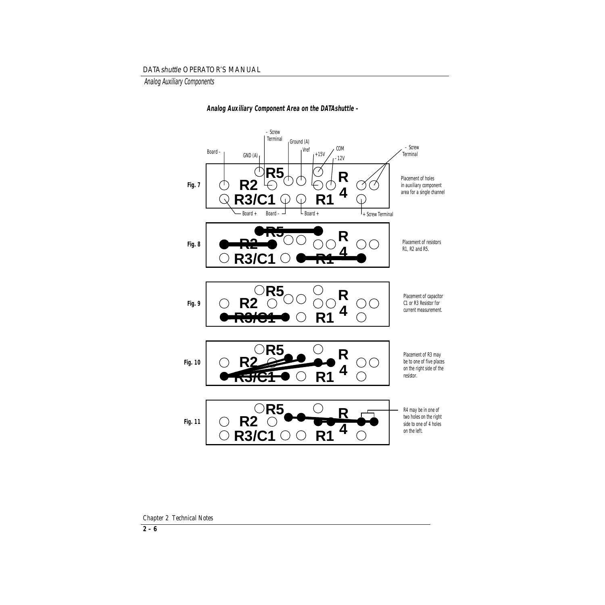Analog Auxiliary Components



**Analog Auxiliary Component Area on the DATAshuttle –**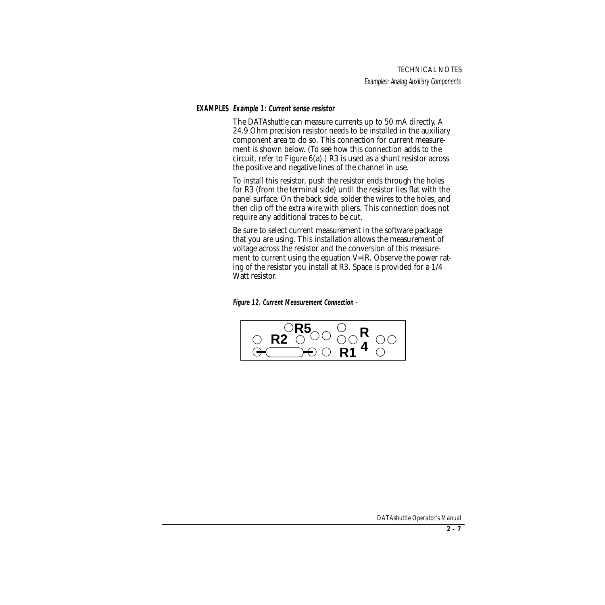### **Example 1: Current sense resistor EXAMPLES**

The DATA*shuttle* can measure currents up to 50 mA directly. A 24.9 Ohm precision resistor needs to be installed in the auxiliary component area to do so. This connection for current measurement is shown below. (To see how this connection adds to the circuit, refer to Figure  $6(a)$ .) R3 is used as a shunt resistor across the positive and negative lines of the channel in use.

To install this resistor, push the resistor ends through the holes for R3 (from the terminal side) until the resistor lies flat with the panel surface. On the back side, solder the wires to the holes, and then clip off the extra wire with pliers. This connection does not require any additional traces to be cut.

Be sure to select current measurement in the software package that you are using. This installation allows the measurement of voltage across the resistor and the conversion of this measurement to current using the equation V=IR. Observe the power rating of the resistor you install at R3. Space is provided for a 1/4 Watt resistor.

**Figure 12. Current Measurement Connection –**

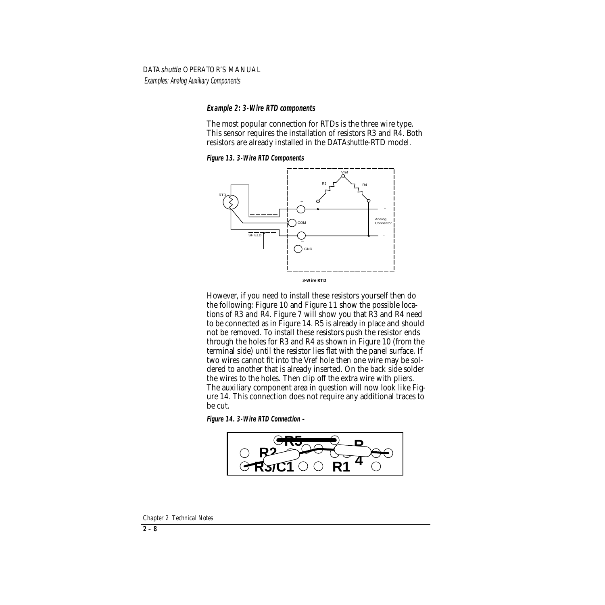Examples: Analog Auxiliary Components

#### **Example 2: 3-Wire RTD components**

The most popular connection for RTDs is the three wire type. This sensor requires the installation of resistors R3 and R4. Both resistors are already installed in the DATA*shuttle*-RTD model.

#### **Figure 13. 3-Wire RTD Components**



However, if you need to install these resistors yourself then do the following: Figure 10 and Figure 11 show the possible locations of R3 and R4. Figure 7 will show you that R3 and R4 need to be connected as in Figure 14. R5 is already in place and should not be removed. To install these resistors push the resistor ends through the holes for R3 and R4 as shown in Figure 10 (from the terminal side) until the resistor lies flat with the panel surface. If two wires cannot fit into the Vref hole then one wire may be soldered to another that is already inserted. On the back side solder the wires to the holes. Then clip off the extra wire with pliers. The auxiliary component area in question will now look like Figure 14. This connection does not require any additional traces to be cut.





#### *Chapter 2 Technical Notes*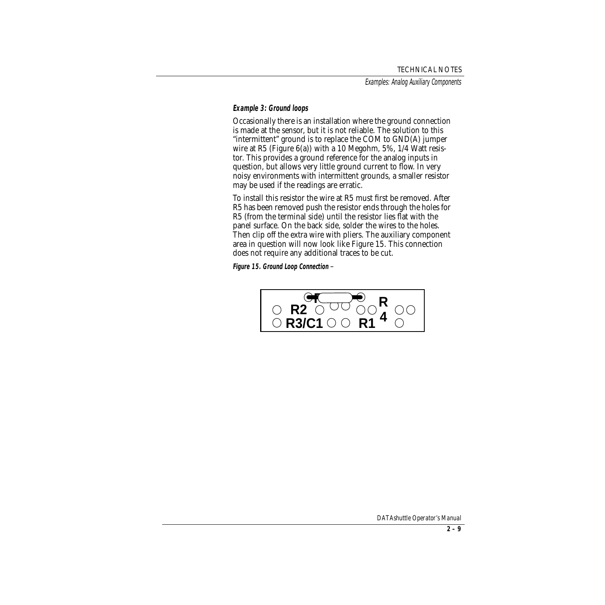Examples: Analog Auxiliary Components

#### **Example 3: Ground loops**

Occasionally there is an installation where the ground connection is made at the sensor, but it is not reliable. The solution to this "intermittent" ground is to replace the COM to GND(A) jumper wire at R5 (Figure  $6(a)$ ) with a 10 Megohm, 5%, 1/4 Watt resistor. This provides a ground reference for the analog inputs in question, but allows very little ground current to flow. In very noisy environments with intermittent grounds, a smaller resistor may be used if the readings are erratic.

To install this resistor the wire at R5 must first be removed. After R5 has been removed push the resistor ends through the holes for R5 (from the terminal side) until the resistor lies flat with the panel surface. On the back side, solder the wires to the holes. Then clip off the extra wire with pliers. The auxiliary component area in question will now look like Figure 15. This connection does not require any additional traces to be cut.

**Figure 15. Ground Loop Connection** –

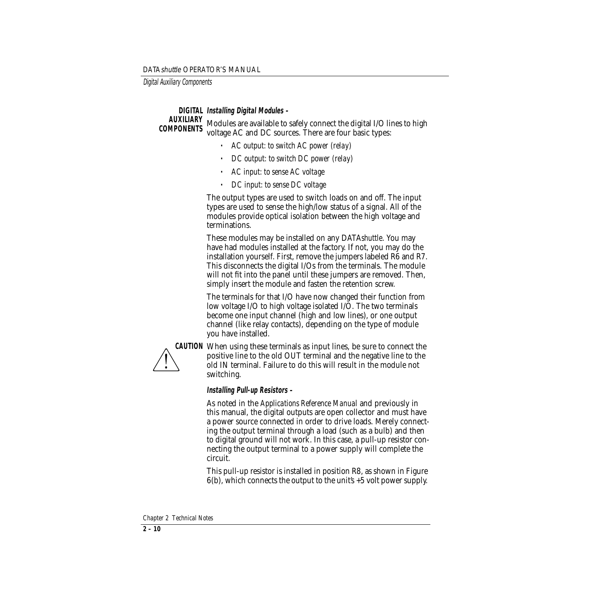Digital Auxiliary Components

#### **Installing Digital Modules – DIGITAL**

Modules are available to safely connect the digital I/O lines to high voltage AC and DC sources. There are four basic types: **AUXILIARY COMPONENTS**

- *· AC output: to switch AC power (relay)*
- *· DC output: to switch DC power (relay)*
- *· AC input: to sense AC voltage*
- *· DC input: to sense DC voltage*

The output types are used to switch loads on and off. The input types are used to sense the high/low status of a signal. All of the modules provide optical isolation between the high voltage and terminations.

These modules may be installed on any DATA*shuttle*. You may have had modules installed at the factory. If not, you may do the installation yourself. First, remove the jumpers labeled R6 and R7. This disconnects the digital I/Os from the terminals. The module will not fit into the panel until these jumpers are removed. Then, simply insert the module and fasten the retention screw.

The terminals for that I/O have now changed their function from low voltage I/O to high voltage isolated I/O. The two terminals become one input channel (high and low lines), or one output channel (like relay contacts), depending on the type of module you have installed.



**CAUTION** When using these terminals as input lines, be sure to connect the positive line to the old OUT terminal and the negative line to the old IN terminal. Failure to do this will result in the module not switching.

#### **Installing Pull-up Resistors –**

As noted in the *Applications Reference Manual* and previously in this manual, the digital outputs are open collector and must have a power source connected in order to drive loads. Merely connecting the output terminal through a load (such as a bulb) and then to digital ground will not work. In this case, a pull-up resistor connecting the output terminal to a power supply will complete the circuit.

This pull-up resistor is installed in position R8, as shown in Figure 6(b), which connects the output to the unit's +5 volt power supply.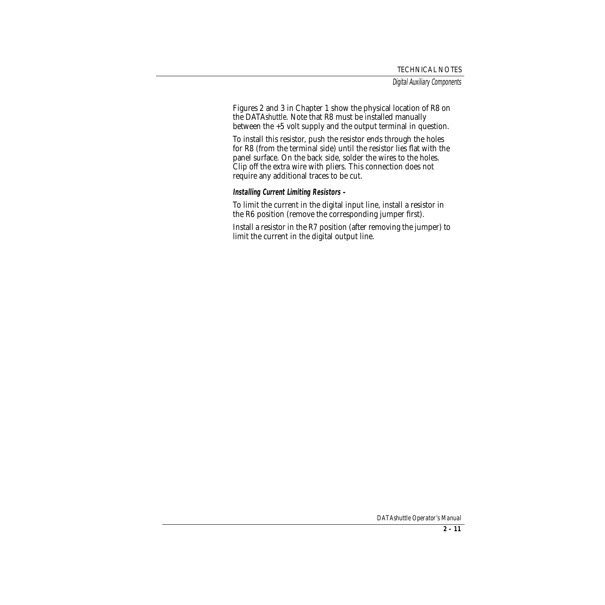Figures 2 and 3 in Chapter 1 show the physical location of R8 on the DATA*shuttle*. Note that R8 must be installed manually between the +5 volt supply and the output terminal in question.

To install this resistor, push the resistor ends through the holes for R8 (from the terminal side) until the resistor lies flat with the panel surface. On the back side, solder the wires to the holes. Clip off the extra wire with pliers. This connection does not require any additional traces to be cut.

#### **Installing Current Limiting Resistors –**

To limit the current in the digital input line, install a resistor in the R6 position (remove the corresponding jumper first).

Install a resistor in the R7 position (after removing the jumper) to limit the current in the digital output line.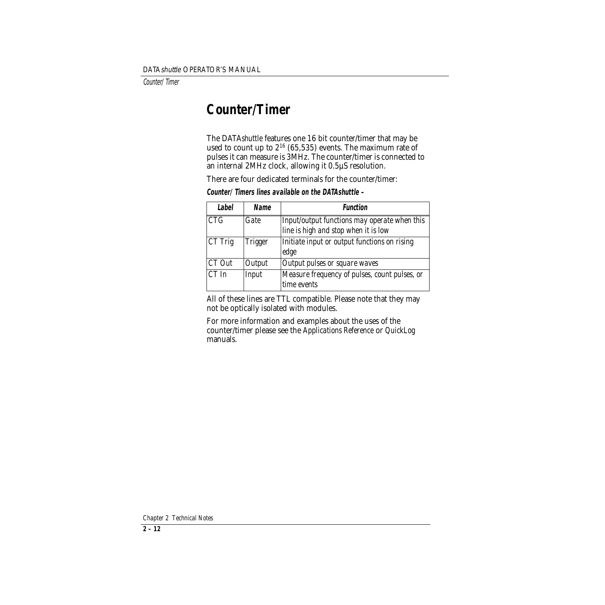Counter/Timer

# *Counter/Timer*

The DATA*shuttle* features one 16 bit counter/timer that may be used to count up to  $2^{16}$  (65,535) events. The maximum rate of pulses it can measure is 3MHz. The counter/timer is connected to an internal 2MHz clock, allowing it 0.5µS resolution.

There are four dedicated terminals for the counter/timer:

| Label      | <b>Name</b>    | <b>Function</b>                                                                      |
|------------|----------------|--------------------------------------------------------------------------------------|
| <b>CTG</b> | Gate           | Input/output functions may operate when this<br>line is high and stop when it is low |
| CT Trig    | <b>Trigger</b> | Initiate input or output functions on rising<br>edge                                 |
| CT Out     | Output         | Output pulses or square waves                                                        |
| CTIn       | Input          | Measure frequency of pulses, count pulses, or<br>time events                         |

**Counter/Timers lines available on the DATAshuttle –**

All of these lines are TTL compatible. Please note that they may not be optically isolated with modules.

For more information and examples about the uses of the counter/timer please see the *Applications Reference* or *QuickLog* manuals.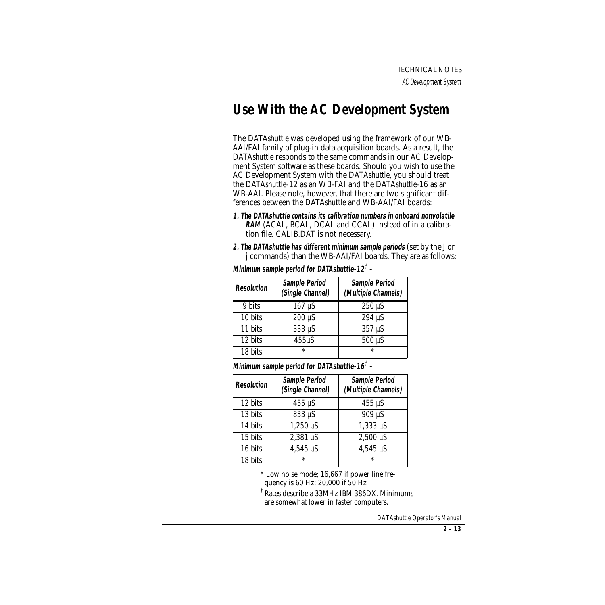# *Use With the AC Development System*

The DATA*shuttle* was developed using the framework of our WB-AAI/FAI family of plug-in data acquisition boards. As a result, the DATA*shuttle* responds to the same commands in our AC Development System software as these boards. Should you wish to use the AC Development System with the DATA*shuttle*, you should treat the DATA*shuttle*-12 as an WB-FAI and the DATA*shuttle*-16 as an WB-AAI. Please note, however, that there are two significant differences between the DATA*shuttle* and WB-AAI/FAI boards:

- **1. The DATAshuttle contains its calibration numbers in onboard nonvolatile RAM** (ACAL, BCAL, DCAL and CCAL) instead of in a calibration file. CALIB.DAT is not necessary.
- **2. The DATAshuttle has different minimum sample periods** (set by the J or j commands) than the WB-AAI/FAI boards. They are as follows:

**Minimum sample period for DATAshuttle-12**†  **–**

| <b>Resolution</b> | <b>Sample Period</b><br>(Single Channel) | <b>Sample Period</b><br>(Multiple Channels) |
|-------------------|------------------------------------------|---------------------------------------------|
| 9 bits            | $167 \mu S$                              | $250 \mu S$                                 |
| 10 bits           | $200 \mu S$                              | $294 \mu S$                                 |
| 11 bits           | $333 \mu S$                              | $357 \mu S$                                 |
| 12 bits           | $455 \mu S$                              | $500 \mu S$                                 |
| 18 bits           | $\ast$                                   | $\ast$                                      |

**Minimum sample period for DATAshuttle-16**†  **–**

| <b>Resolution</b> | <b>Sample Period</b><br>(Single Channel) | <b>Sample Period</b><br>(Multiple Channels) |
|-------------------|------------------------------------------|---------------------------------------------|
| 12 bits           | $455 \mu S$                              | $455 \mu S$                                 |
| 13 bits           | $833 \mu S$                              | $909 \mu S$                                 |
| 14 bits           | $1,250 \,\mu S$                          | $1,333 \mu S$                               |
| 15 bits           | $2,381 \,\mu S$                          | $2,500 \,\mu S$                             |
| 16 bits           | $4,545 \,\mu S$                          | $4,545 \,\mu S$                             |
| 18 bits           | $\ast$                                   | $\ast$                                      |

\* Low noise mode; 16,667 if power line frequency is 60 Hz; 20,000 if 50 Hz

 $^\dagger$  Rates describe a 33MHz IBM 386DX. Minimums are somewhat lower in faster computers.

*DATAshuttle Operator's Manual*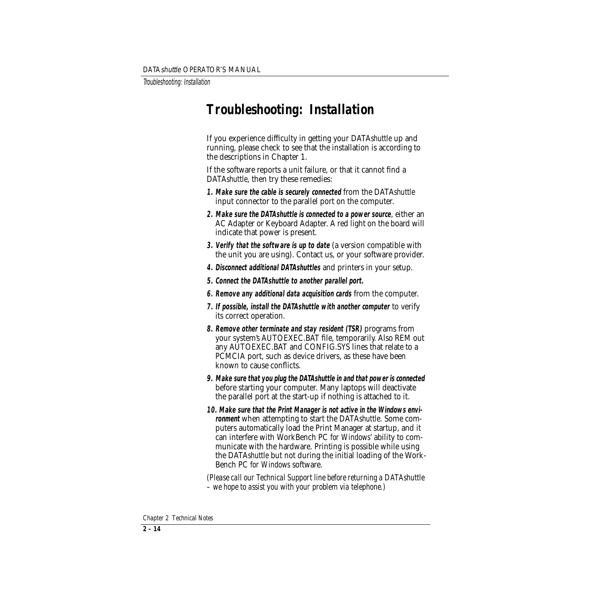Troubleshooting: Installation

# *Troubleshooting: Installation*

If you experience difficulty in getting your DATA*shuttle* up and running, please check to see that the installation is according to the descriptions in Chapter 1.

If the software reports a unit failure, or that it cannot find a DATA*shuttle*, then try these remedies:

- **1. Make sure the cable is securely connected** from the DATA*shuttle* input connector to the parallel port on the computer.
- **2. Make sure the DATAshuttle is connected to a power source**, either an AC Adapter or Keyboard Adapter. A red light on the board will indicate that power is present.
- **3. Verify that the software is up to date** (a version compatible with the unit you are using). Contact us, or your software provider.
- **4. Disconnect additional DATAshuttles** and printers in your setup.
- **5. Connect the DATAshuttle to another parallel port.**
- **6. Remove any additional data acquisition cards** from the computer.
- **7. If possible, install the DATAshuttle with another computer** to verify its correct operation.
- **8. Remove other terminate and stay resident (TSR)** programs from your system's AUTOEXEC.BAT file, temporarily. Also REM out any AUTOEXEC.BAT and CONFIG.SYS lines that relate to a PCMCIA port, such as device drivers, as these have been known to cause conflicts.
- **9. Make sure that you plug the DATAshuttle in and that power is connected**  before starting your computer. Many laptops will deactivate the parallel port at the start-up if nothing is attached to it.
- **10. Make sure that the Print Manager is not active in the Windows environment** when attempting to start the DATA*shuttle*. Some computers automatically load the Print Manager at startup, and it can interfere with WorkBench PC *for Windows*' ability to communicate with the hardware. Printing is possible while using the DATA*shuttle* but not during the initial loading of the Work-Bench PC *for Windows* software.

*(Please call our Technical Support line before returning a DATAshuttle – we hope to assist you with your problem via telephone.)*

*Chapter 2 Technical Notes*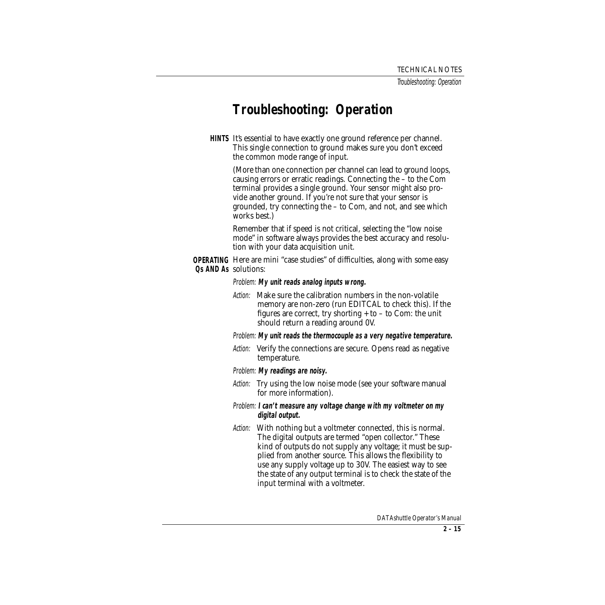# *Troubleshooting: Operation*

HINTS It's essential to have exactly one ground reference per channel. This single connection to ground makes sure you don't exceed the common mode range of input.

> (More than one connection per channel can lead to ground loops, causing errors or erratic readings. Connecting the – to the Com terminal provides a single ground. Your sensor might also provide another ground. If you're not sure that your sensor is grounded, try connecting the – to Com, and not, and see which works best.)

> Remember that if speed is not critical, selecting the "low noise mode" in software always provides the best accuracy and resolution with your data acquisition unit.

**OPERATING** Here are mini "case studies" of difficulties, along with some easy **Qs AND As** solutions:

#### Problem: **My unit reads analog inputs wrong.**

Action: Make sure the calibration numbers in the non-volatile memory are non-zero (run EDITCAL to check this). If the figures are correct, try shorting + to – to Com: the unit should return a reading around 0V.

#### Problem: **My unit reads the thermocouple as a very negative temperature.**

Action: Verify the connections are secure. Opens read as negative temperature.

#### Problem: **My readings are noisy.**

Action: Try using the low noise mode (see your software manual for more information).

#### Problem: **I can't measure any voltage change with my voltmeter on my digital output.**

Action: With nothing but a voltmeter connected, this is normal. The digital outputs are termed "open collector." These kind of outputs do not supply any voltage; it must be supplied from another source. This allows the flexibility to use any supply voltage up to 30V. The easiest way to see the state of any output terminal is to check the state of the input terminal with a voltmeter.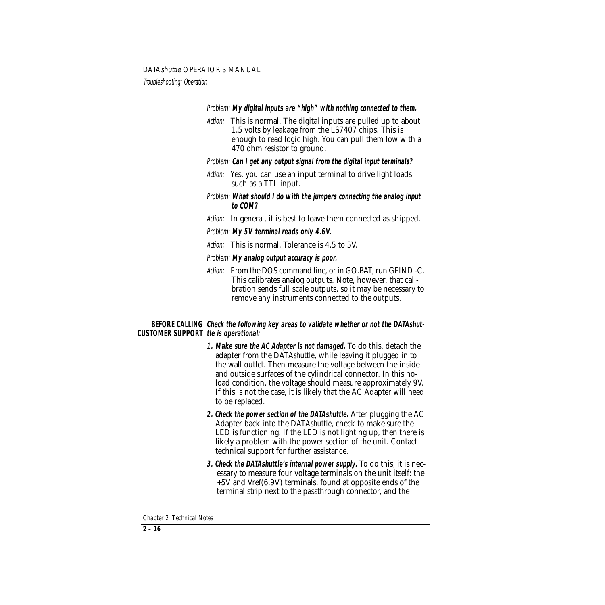Troubleshooting: Operation

#### Problem: **My digital inputs are "high" with nothing connected to them.**

Action: This is normal. The digital inputs are pulled up to about 1.5 volts by leakage from the LS7407 chips. This is enough to read logic high. You can pull them low with a 470 ohm resistor to ground.

#### Problem: **Can I get any output signal from the digital input terminals?**

- Action: *Y*es, you can use an input terminal to drive light loads such as a TTL input.
- Problem: **What should I do with the jumpers connecting the analog input to COM?**
- Action: In general, it is best to leave them connected as shipped.

#### Problem: **My 5V terminal reads only 4.6V.**

- Action: This is normal. Tolerance is 4.5 to 5V.
- Problem: **My analog output accuracy is poor.**
- Action: From the DOS command line, or in GO.BAT, run GFIND -C. This calibrates analog outputs. Note, however, that calibration sends full scale outputs, so it may be necessary to remove any instruments connected to the outputs.

#### **Check the following key areas to validate whether or not the DATAshut-BEFORE CALLING tle is operational: CUSTOMER SUPPORT**

- **1. Make sure the AC Adapter is not damaged.** To do this, detach the adapter from the DATA*shuttle*, while leaving it plugged in to the wall outlet. Then measure the voltage between the inside and outside surfaces of the cylindrical connector. In this noload condition, the voltage should measure approximately 9V. If this is not the case, it is likely that the AC Adapter will need to be replaced.
- **2. Check the power section of the DATAshuttle.** After plugging the AC Adapter back into the DATA*shuttle*, check to make sure the LED is functioning. If the LED is not lighting up, then there is likely a problem with the power section of the unit. Contact technical support for further assistance.
- **3. Check the DATAshuttle's internal power supply.** To do this, it is necessary to measure four voltage terminals on the unit itself: the +5V and Vref(6.9V) terminals, found at opposite ends of the terminal strip next to the passthrough connector, and the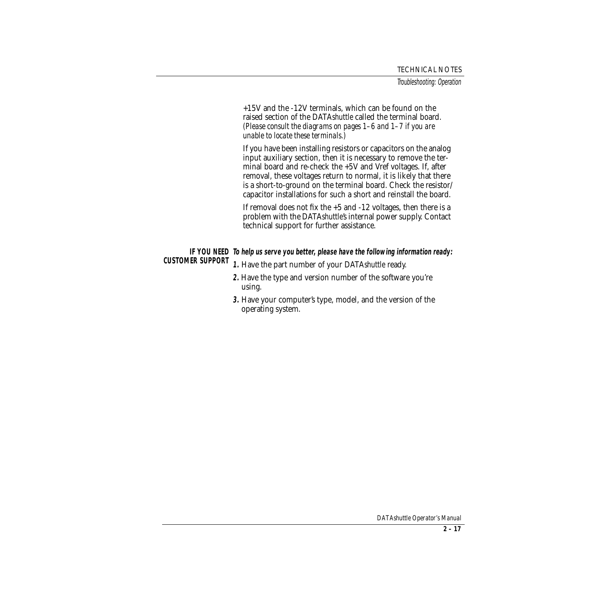+15V and the -12V terminals, which can be found on the raised section of the DATA*shuttle* called the terminal board. *(Please consult the diagrams on pages 1–6 and 1–7 if you are unable to locate these terminals.)*

If you have been installing resistors or capacitors on the analog input auxiliary section, then it is necessary to remove the terminal board and re-check the +5V and Vref voltages. If, after removal, these voltages return to normal, it is likely that there is a short-to-ground on the terminal board. Check the resistor/ capacitor installations for such a short and reinstall the board.

If removal does not fix the +5 and -12 voltages, then there is a problem with the DATA*shuttle*'s internal power supply. Contact technical support for further assistance.

### **To help us serve you better, please have the following information ready: IF YOU NEED**

### **CUSTOMER SUPPORT**

- **1.** Have the part number of your DATA*shuttle* ready.
- **2.** Have the type and version number of the software you're using.
- **3.** Have your computer's type, model, and the version of the operating system.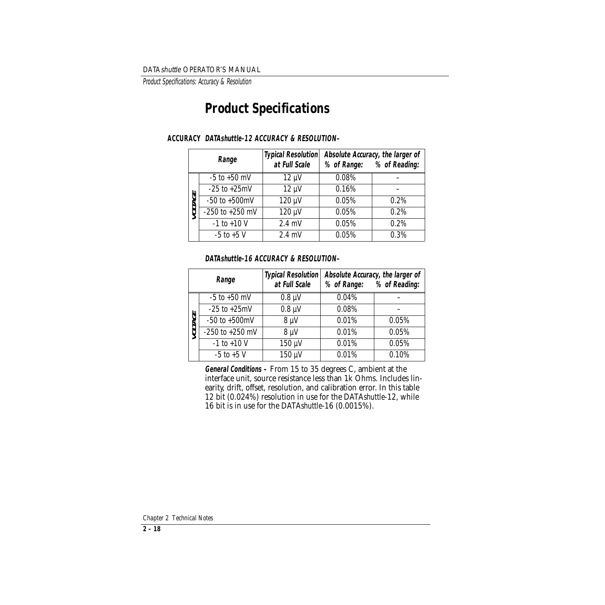Product Specifications: Accuracy & Resolution

# *Product Specifications*

| Range          |                     | <b>Typical Resolution</b><br>at Full Scale | Absolute Accuracy, the larger of<br>% of Reading:<br>% of Range: |         |
|----------------|---------------------|--------------------------------------------|------------------------------------------------------------------|---------|
|                |                     |                                            |                                                                  |         |
|                | $-5$ to $+50$ mV    | $12 \mu V$                                 | 0.08%                                                            |         |
| <b>VOLTAGE</b> | $-25$ to $+25mV$    | $12 \mu V$                                 | 0.16%                                                            |         |
|                | $-50$ to $+500$ mV  | $120 \mu V$                                | 0.05%                                                            | $0.2\%$ |
|                | $-250$ to $+250$ mV | $120 \mu V$                                | 0.05%                                                            | 0.2%    |
|                | $-1$ to $+10$ V     | $2.4 \text{ mV}$                           | 0.05%                                                            | 0.2%    |
|                | $-5$ to $+5$ V      | $2.4 \text{ mV}$                           | 0.05%                                                            | 0.3%    |

#### **DATAshuttle-12 ACCURACY & RESOLUTION– ACCURACY**

#### **DATAshuttle-16 ACCURACY & RESOLUTION–**

| Range          |                     | <b>Typical Resolution</b><br>at Full Scale | Absolute Accuracy, the larger of<br>% of Reading:<br>% of Range: |       |
|----------------|---------------------|--------------------------------------------|------------------------------------------------------------------|-------|
|                | $-5$ to $+50$ mV    | $0.8 \mu V$                                | 0.04%                                                            |       |
|                | $-25$ to $+25mV$    | $0.8 \mu V$                                | 0.08%                                                            |       |
|                | $-50$ to $+500$ mV  | $8 \mu V$                                  | 0.01%                                                            | 0.05% |
| <b>VOLTAGE</b> | $-250$ to $+250$ mV | $8 \mu V$                                  | 0.01%                                                            | 0.05% |
|                | $-1$ to $+10$ V     | $150 \mu V$                                | 0.01%                                                            | 0.05% |
|                | $-5$ to $+5$ V      | $150 \mu V$                                | 0.01%                                                            | 0.10% |

**General Conditions –** From 15 to 35 degrees C, ambient at the interface unit, source resistance less than 1k Ohms. Includes linearity, drift, offset, resolution, and calibration error. In this table 12 bit (0.024%) resolution in use for the DATA*shuttle*-12, while 16 bit is in use for the DATA*shuttle*-16 (0.0015%).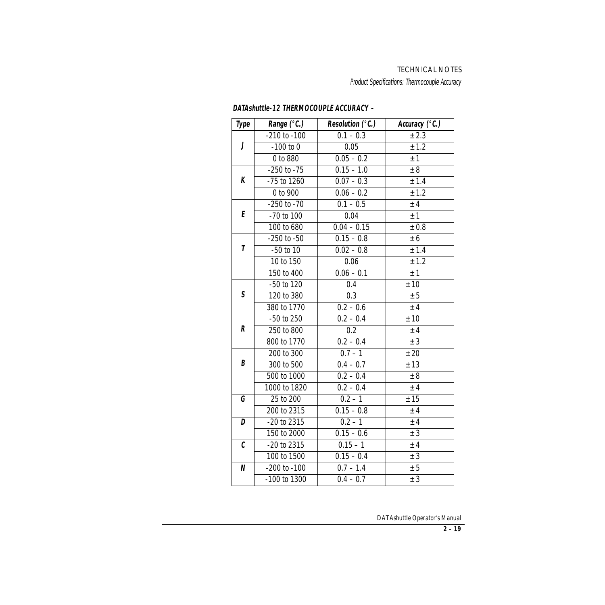| DATAshuttle-12 THERMOCOUPLE ACCURACY - |  |
|----------------------------------------|--|
|----------------------------------------|--|

| Type             | Range (°C.)      | Resolution (°C.) | Accuracy (°C.) |
|------------------|------------------|------------------|----------------|
|                  | $-210$ to $-100$ | $0.1 - 0.3$      | ± 2.3          |
| J                | $-100$ to $0$    | 0.05             | ± 1.2          |
|                  | 0 to 880         | $0.05 - 0.2$     | $\pm$ 1        |
|                  | $-250$ to $-75$  | $0.15 - 1.0$     | $\pm$ 8        |
| K                | $-75$ to $1260$  | $0.07 - 0.3$     | ± 1.4          |
|                  | 0 to 900         | $0.06 - 0.2$     | ± 1.2          |
|                  | $-250$ to $-70$  | $0.1 - 0.5$      | ± 4            |
| E                | $-70$ to $100$   | 0.04             | $\pm$ 1        |
|                  | 100 to 680       | $0.04 - 0.15$    | ± 0.8          |
|                  | $-250$ to $-50$  | $0.15 - 0.8$     | $\pm 6$        |
| T                | $-50$ to $10$    | $0.02 - 0.8$     | ±1.4           |
|                  | 10 to 150        | 0.06             | ± 1.2          |
|                  | 150 to 400       | $0.06 - 0.1$     | $\pm$ 1        |
|                  | $-50$ to $120$   | 0.4              | $\pm~10$       |
| S                | 120 to 380       | 0.3              | ± 5            |
|                  | 380 to 1770      | $0.2 - 0.6$      | $±$ 4          |
|                  | $-50$ to $250$   | $0.2 - 0.4$      | $\pm 10$       |
| $\boldsymbol{R}$ | 250 to 800       | $0.2^{\circ}$    | ± 4            |
|                  | 800 to 1770      | $0.2 - 0.4$      | ± 3            |
|                  | 200 to 300       | $0.7 - 1$        | $\pm$ 20       |
| B                | 300 to 500       | $0.4 - 0.7$      | ±13            |
|                  | 500 to 1000      | $0.2 - 0.4$      | $\pm$ 8        |
|                  | 1000 to 1820     | $0.2 - 0.4$      | $±$ 4          |
| G                | 25 to 200        | $0.2 - 1$        | ± 15           |
|                  | 200 to 2315      | $0.15 - 0.8$     | ± 4            |
| D                | $-20$ to $2315$  | $0.2 - 1$        | ± 4            |
|                  | 150 to 2000      | $0.15 - 0.6$     | $\pm$ 3        |
| C                | $-20$ to $2315$  | $0.15 - 1$       | ± 4            |
|                  | 100 to 1500      | $0.15 - 0.4$     | $\pm$ 3        |
| N                | $-200$ to $-100$ | $0.7 - 1.4$      | $\pm$ 5        |
|                  | -100 to 1300     | $0.4 - 0.7$      | ± 3            |

*DATAshuttle Operator's Manual*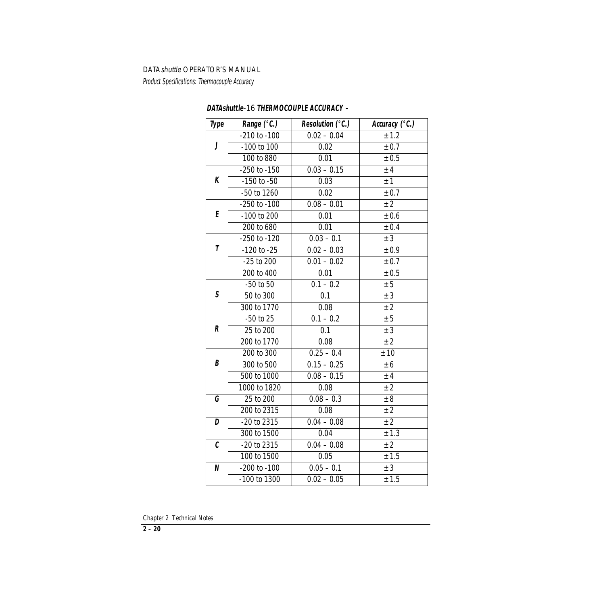| <b>Type</b>              | Range (°C.)      | Resolution (°C.)        | Accuracy (°C.)     |
|--------------------------|------------------|-------------------------|--------------------|
|                          | $-210$ to $-100$ | $0.02 - 0.04$           | ± 1.2              |
| J                        | $-100$ to $100$  | 0.02                    | ± 0.7              |
|                          | 100 to 880       | 0.01                    | ± 0.5              |
|                          | $-250$ to $-150$ | $0.03 - 0.15$           | $±$ 4              |
| K                        | $-150$ to $-50$  | 0.03                    | $\pm$ 1            |
|                          | $-50$ to $1260$  | 0.02                    | ± 0.7              |
|                          | $-250$ to $-100$ | $0.08 - 0.01$           | $\pm 2$            |
| E                        | $-100$ to $200$  | 0.01                    | $\pm$ 0.6          |
|                          | 200 to 680       | 0.01                    | ± 0.4              |
|                          | $-250$ to $-120$ | $\overline{0.03} - 0.1$ | ± 3                |
| $\overline{I}$           | $-120$ to $-25$  | $0.02 - 0.03$           | $\pm 0.9$          |
|                          | $-25$ to $200$   | $0.01 - 0.02$           | ± 0.7              |
|                          | 200 to 400       | 0.01                    | ± 0.5              |
|                          | -50 to $50$      | $0.1 - 0.2$             | ± 5                |
| $\boldsymbol{\mathsf S}$ | 50 to 300        | $\overline{0.1}$        | $\pm$ 3            |
|                          | 300 to 1770      | 0.08                    | ± 2                |
|                          | $-50$ to $25$    | $0.1 - 0.2$             | $\pm$ 5            |
| $\boldsymbol{R}$         | 25 to 200        | $\overline{0.1}$        | $\pm$ 3            |
|                          | 200 to 1770      | 0.08                    | $\overline{\pm}$ 2 |
|                          | 200 to 300       | $0.25 - 0.4$            | ±10                |
| B                        | 300 to 500       | $0.15 - 0.25$           | $\pm 6$            |
|                          | 500 to 1000      | $0.08 - 0.15$           | $±$ 4              |
|                          | 1000 to 1820     | 0.08                    | ± 2                |
| G                        | 25 to 200        | $0.08 - 0.3$            | $\pm$ 8            |
|                          | 200 to 2315      | 0.08                    | ± 2                |
| D                        | $-20$ to $2315$  | $0.04 - 0.08$           | ± 2                |
|                          | 300 to 1500      | 0.04                    | ±1.3               |
| C                        | $-20$ to $2315$  | $0.04 - 0.08$           | $\pm \overline{2}$ |
|                          | 100 to 1500      | 0.05                    | ±1.5               |
| N                        | $-200$ to $-100$ | $0.05 - 0.1$            | $\pm$ 3            |
|                          | $-100$ to $1300$ | $0.02 - 0.05$           | ± 1.5              |

**DATAshuttle**-16 **THERMOCOUPLE ACCURACY –**

*Chapter 2 Technical Notes*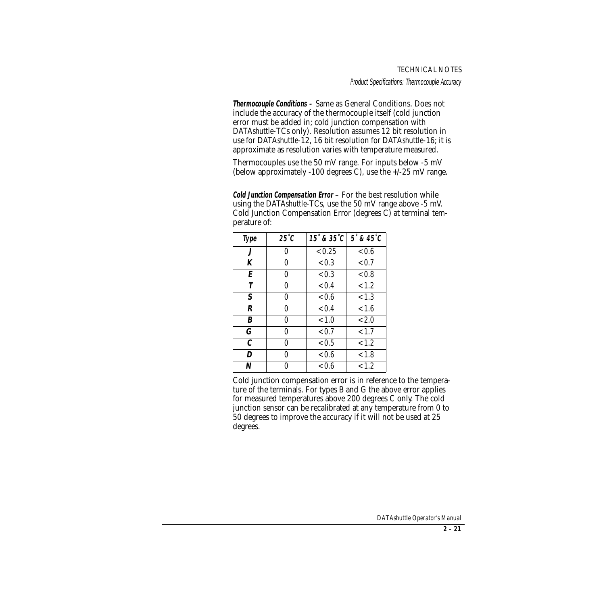**Thermocouple Conditions –** Same as General Conditions. Does not include the accuracy of the thermocouple itself (cold junction error must be added in; cold junction compensation with DATA*shuttle*-TCs only). Resolution assumes 12 bit resolution in use for DATA*shuttle*-12, 16 bit resolution for DATA*shuttle*-16; it is approximate as resolution varies with temperature measured.

Thermocouples use the 50 mV range. For inputs below -5 mV (below approximately -100 degrees C), use the +/-25 mV range.

**Cold Junction Compensation Error** – For the best resolution while using the DATA*shuttle*-TCs, use the 50 mV range above -5 mV. Cold Junction Compensation Error (degrees C) at terminal temperature of:

| <b>Type</b>    | $25^\circ C$ | $15^\circ$ & $35^\circ$ C | $5^\circ$ & $45^\circ$ C |
|----------------|--------------|---------------------------|--------------------------|
| $\overline{J}$ | 0            | < 0.25                    | < 0.6                    |
| Κ              | 0            | ~< 0.3                    | 0.7                      |
| Ε              | 0            | ~< 0.3                    | < 0.8                    |
| T              | 0            | < 0.4                     | < 1.2                    |
| S              | 0            | ~< 0.6                    | < 1.3                    |
| R              | N            | < 0.4                     | < 1.6                    |
| R              | O            | ~1.0                      | ~< 2.0                   |
| G              | 0            | 0.7                       | < 1.7                    |
| C              | 0            | ~< 0.5                    | < 1.2                    |
| D              | N            | < 0.6                     | < 1.8                    |
| Ν              |              | < 0.6                     | 1.2                      |

Cold junction compensation error is in reference to the temperature of the terminals. For types B and G the above error applies for measured temperatures above 200 degrees C only. The cold junction sensor can be recalibrated at any temperature from 0 to 50 degrees to improve the accuracy if it will not be used at 25 degrees.

*DATAshuttle Operator's Manual*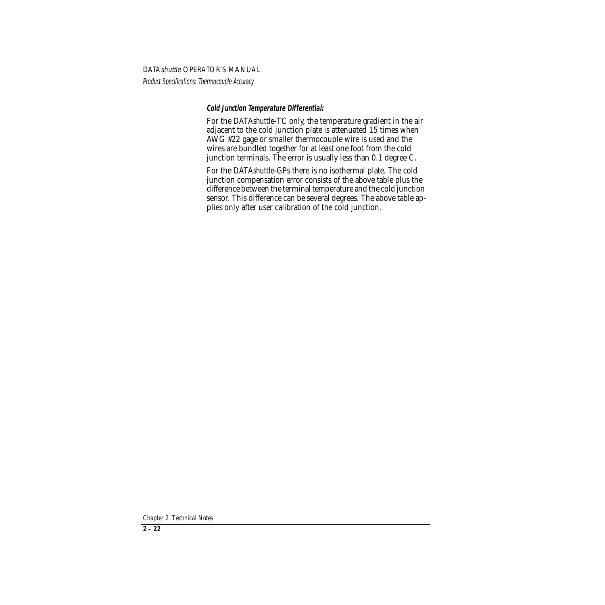#### **Cold Junction Temperature Differential:**

For the DATA*shuttle*-TC only, the temperature gradient in the air adjacent to the cold junction plate is attenuated 15 times when AWG #22 gage or smaller thermocouple wire is used and the wires are bundled together for at least one foot from the cold junction terminals. The error is usually less than 0.1 degree C.

For the DATA*shuttle*-GPs there is no isothermal plate. The cold junction compensation error consists of the above table plus the difference between the terminal temperature and the cold junction sensor. This difference can be several degrees. The above table applies only after user calibration of the cold junction.

*Chapter 2 Technical Notes*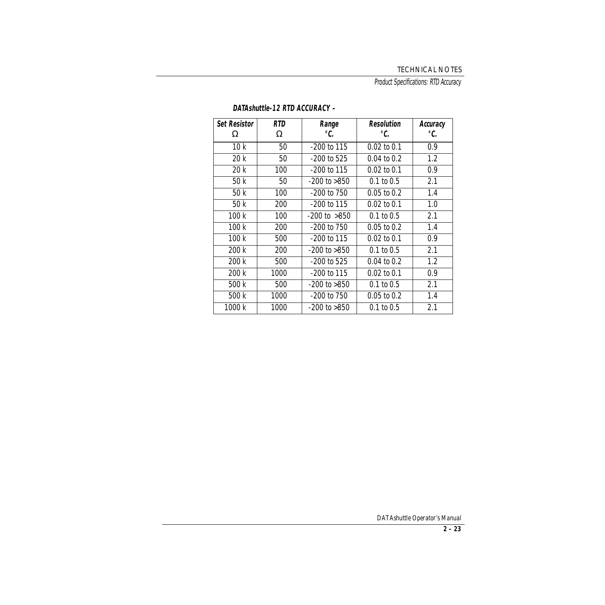### TECHNICAL NOTES

Product Specifications: RTD Accuracy

| <b>Set Resistor</b><br>Ω | <b>RTD</b><br>Ω | Range<br>°C.     | <b>Resolution</b><br>°C. | Accuracy<br>°C. |
|--------------------------|-----------------|------------------|--------------------------|-----------------|
| 10k                      | 50              | $-200$ to $115$  | $0.02$ to $0.1$          | 0.9             |
| 20k                      | 50              | $-200$ to $525$  | $0.04$ to $0.2$          | 1.2             |
| 20k                      | 100             | $-200$ to $115$  | $0.02$ to $0.1$          | 0.9             |
| 50 k                     | 50              | $-200$ to $>850$ | $0.1$ to $0.5$           | 2.1             |
| 50k                      | 100             | $-200$ to $750$  | $0.05$ to $0.2$          | 1.4             |
| 50 k                     | 200             | $-200$ to 115    | $0.02$ to $0.1$          | 1.0             |
| 100k                     | 100             | $-200$ to $-850$ | $0.1$ to $0.5$           | 2.1             |
| 100k                     | 200             | $-200$ to $750$  | $0.05$ to $0.2$          | 1.4             |
| 100k                     | 500             | $-200$ to 115    | $0.02$ to $0.1$          | 0.9             |
| 200 k                    | 200             | $-200$ to $>850$ | $0.1$ to $0.5$           | 2.1             |
| 200 k                    | 500             | $-200$ to $525$  | $0.04$ to $0.2$          | 1.2             |
| 200 k                    | 1000            | $-200$ to $115$  | $0.02$ to $0.1$          | 0.9             |
| 500 k                    | 500             | $-200$ to $>850$ | $0.1$ to $0.5$           | 2.1             |
| 500 k                    | 1000            | $-200$ to $750$  | $0.05$ to $0.2$          | 1.4             |
| 1000 k                   | 1000            | $-200$ to $>850$ | $0.1$ to $0.5$           | 2.1             |

### **DATAshuttle-12 RTD ACCURACY –**

*DATAshuttle Operator's Manual*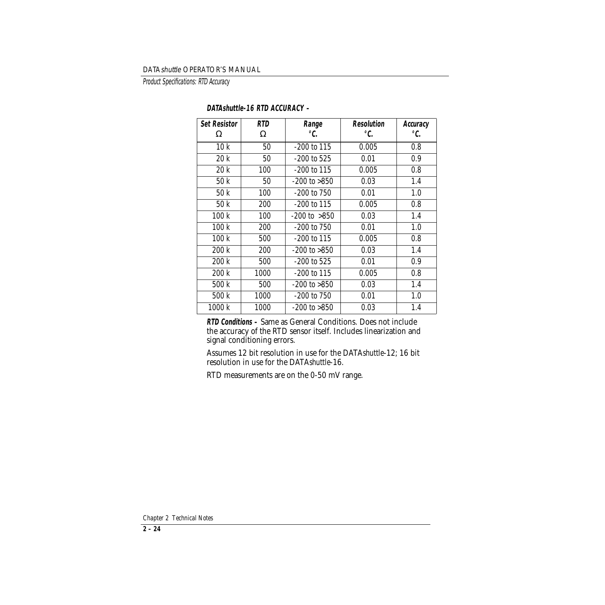Product Specifications: RTD Accuracy

| <b>Set Resistor</b> | RTD  | Range            | <b>Resolution</b> | Accuracy |
|---------------------|------|------------------|-------------------|----------|
| Ω                   | Ω    | °C.              | °C.               | °C.      |
| 10k                 | 50   | $-200$ to 115    | 0.005             | 0.8      |
| 20k                 | 50   | $-200$ to 525    | 0.01              | 0.9      |
| 20k                 | 100  | $-200$ to 115    | 0.005             | 0.8      |
| 50 k                | 50   | $-200$ to $>850$ | 0.03              | 1.4      |
| 50 k                | 100  | $-200$ to $750$  | 0.01              | 1.0      |
| 50 k                | 200  | $-200$ to 115    | 0.005             | 0.8      |
| 100k                | 100  | $-200$ to $-850$ | 0.03              | 1.4      |
| 100k                | 200  | $-200$ to $750$  | 0.01              | 1.0      |
| 100k                | 500  | $-200$ to 115    | 0.005             | 0.8      |
| 200 k               | 200  | $-200$ to $>850$ | 0.03              | 1.4      |
| 200 k               | 500  | $-200$ to $525$  | 0.01              | 0.9      |
| 200 k               | 1000 | $-200$ to $115$  | 0.005             | 0.8      |
| 500 k               | 500  | $-200$ to $>850$ | 0.03              | 1.4      |
| 500 k               | 1000 | $-200$ to $750$  | 0.01              | 1.0      |
| 1000 k              | 1000 | $-200$ to $>850$ | 0.03              | 1.4      |

**RTD Conditions –** Same as General Conditions. Does not include the accuracy of the RTD sensor itself. Includes linearization and signal conditioning errors.

Assumes 12 bit resolution in use for the DATA*shuttle*-12; 16 bit resolution in use for the DATA*shuttle*-16.

RTD measurements are on the 0-50 mV range.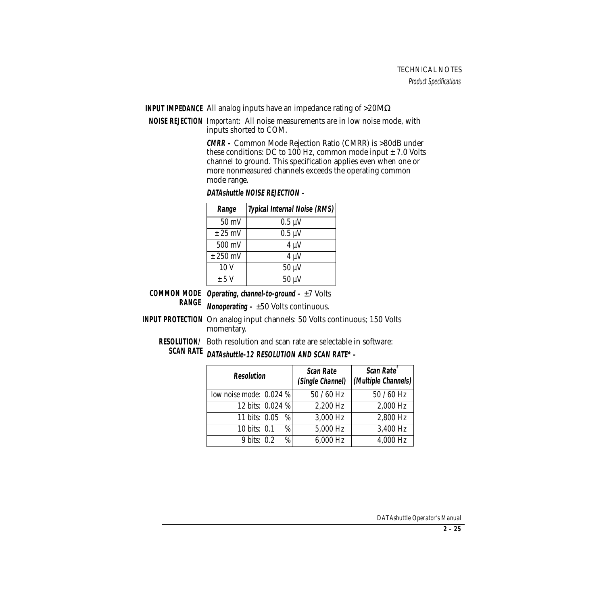**INPUT IMPEDANCE** All analog inputs have an impedance rating of >20**M**Ω

*Important:* All noise measurements are in low noise mode, with **NOISE REJECTION** inputs shorted to COM.

> **CMRR –** Common Mode Rejection Ratio (CMRR) is >80dB under these conditions: DC to 100 Hz, common mode input  $\pm$  7.0 Volts channel to ground. This specification applies even when one or more nonmeasured channels exceeds the operating common mode range.

| Range            | <b>Typical Internal Noise (RMS)</b> |  |
|------------------|-------------------------------------|--|
| $50 \text{ mV}$  | $0.5 \mu V$                         |  |
| $\pm 25$ mV      | $0.5 \mu V$                         |  |
| $500 \text{ mV}$ | $4 \mu V$                           |  |
| $\pm 250$ mV     | $4 \mu V$                           |  |
| 10V              | $50 \mu V$                          |  |
| $\pm$ 5 V        | $50 \mu V$                          |  |

### **DATAshuttle NOISE REJECTION –**

**COMMON MODE** Operating, channel-to-ground – ±7 Volts **Nonoperating –** ±50 Volts continuous. **RANGE**

**INPUT PROTECTION** On analog input channels: 50 Volts continuous; 150 Volts momentary.

**RESOLUTION/** Both resolution and scan rate are selectable in software:

### **DATAshuttle-12 RESOLUTION AND SCAN RATE\* – SCAN RATE**

| <b>Resolution</b>       |                  | <b>Scan Rate</b><br>(Single Channel) | Scan Rate <sup>T</sup><br>(Multiple Channels) |
|-------------------------|------------------|--------------------------------------|-----------------------------------------------|
| low noise mode: 0.024 % |                  | 50 / 60 Hz                           | 50 / 60 Hz                                    |
|                         | 12 bits: 0.024 % | 2,200 Hz                             | 2,000 Hz                                      |
| 11 bits: 0.05           | %                | 3,000 Hz                             | 2,800 Hz                                      |
| 10 bits: 0.1            | %                | 5,000 Hz                             | 3,400 Hz                                      |
| 9 bits: 0.2             | %                | 6,000 Hz                             | 4,000 Hz                                      |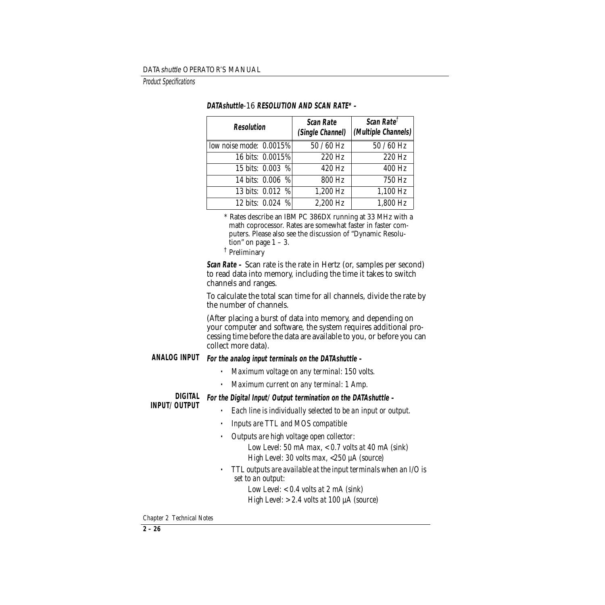Product Specifications

| <b>Resolution</b>       | <b>Scan Rate</b><br>(Single Channel) | Scan Rate <sup><math>T</math></sup><br>(Multiple Channels) |
|-------------------------|--------------------------------------|------------------------------------------------------------|
| low noise mode: 0.0015% | $50/60$ Hz                           | 50 / 60 Hz                                                 |
| 16 bits: 0.0015%        | 220 Hz                               | 220 Hz                                                     |
| 15 bits: 0.003 %        | 420 Hz                               | 400 Hz                                                     |
| 14 bits: 0.006 %        | 800 Hz                               | 750 Hz                                                     |
| 13 bits: 0.012 %        | 1,200 Hz                             | 1,100 Hz                                                   |
| 12 bits: 0.024 %        | 2,200 Hz                             | 1,800 Hz                                                   |

|  |  | DATA shuttle-16 RESOLUTION AND SCAN RATE* - |
|--|--|---------------------------------------------|
|--|--|---------------------------------------------|

\* Rates describe an IBM PC 386DX running at 33 MHz with a math coprocessor. Rates are somewhat faster in faster computers. Please also see the discussion of "Dynamic Resolution" on page  $1 - 3$ .

† Preliminary

**Scan Rate –** Scan rate is the rate in Hertz (or, samples per second) to read data into memory, including the time it takes to switch channels and ranges.

To calculate the total scan time for all channels, divide the rate by the number of channels.

(After placing a burst of data into memory, and depending on your computer and software, the system requires additional processing time before the data are available to you, or before you can collect more data).

#### **For the analog input terminals on the DATAshuttle – ANALOG INPUT**

- *· Maximum voltage on any terminal: 150 volts.*
- *· Maximum current on any terminal: 1 Amp.*

#### **For the Digital Input/Output termination on the DATAshuttle – DIGITAL INPUT/OUTPUT**

- *· Each line is individually selected to be an input or output.*
- *· Inputs are TTL and MOS compatible*
- *· Outputs are high voltage open collector: Low Level: 50 mA max, < 0.7 volts at 40 mA (sink) High Level: 30 volts max, <250 µA (source)*
- *· TTL outputs are available at the input terminals when an I/O is set to an output:*

*Low Level: < 0.4 volts at 2 mA (sink) High Level: > 2.4 volts at 100 µA (source)* 

#### *Chapter 2 Technical Notes*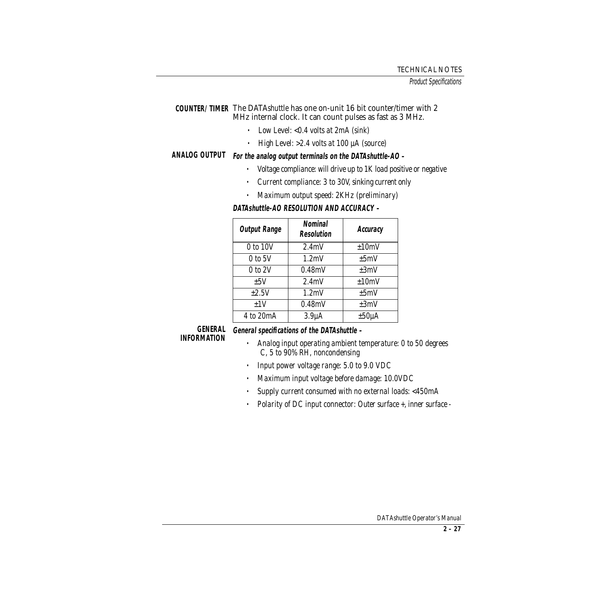#### The DATA*shuttle* has one on-unit 16 bit counter/timer with 2 **COUNTER/TIMER** MHz internal clock. It can count pulses as fast as 3 MHz.

- *· Low Level: <0.4 volts at 2mA (sink)*
- *· High Level: >2.4 volts at 100 µA (source)*

### **For the analog output terminals on the DATAshuttle-AO – ANALOG OUTPUT**

- *· Voltage compliance: will drive up to 1K load positive or negative*
- *· Current compliance: 3 to 30V, sinking current only*
- *· Maximum output speed: 2KHz (preliminary)*

#### **DATAshuttle-AO RESOLUTION AND ACCURACY –**

| <b>Output Range</b> | <b>Nominal</b><br><b>Resolution</b> | Accuracy   |
|---------------------|-------------------------------------|------------|
| 0 to 10V            | 2.4mV                               | ±10mV      |
| $0$ to $5V$         | 1.2mV                               | ±5mV       |
| $0$ to $2V$         | 0.48mV                              | $\pm 3mV$  |
| $\pm 5V$            | 2.4mV                               | ±10mV      |
| $\pm 2.5V$          | 1.2mV                               | ±5mV       |
| $\pm 1V$            | 0.48mV                              | $\pm 3mV$  |
| 4 to 20mA           | $3.9\mu A$                          | $±50\mu A$ |

#### **General specifications of the DATAshuttle – GENERAL**

**INFORMATION**

- *· Analog input operating ambient temperature: 0 to 50 degrees C, 5 to 90% RH, noncondensing*
- *· Input power voltage range: 5.0 to 9.0 VDC*
- *· Maximum input voltage before damage: 10.0VDC*
- *· Supply current consumed with no external loads: <450mA*
- *· Polarity of DC input connector: Outer surface +, inner surface -*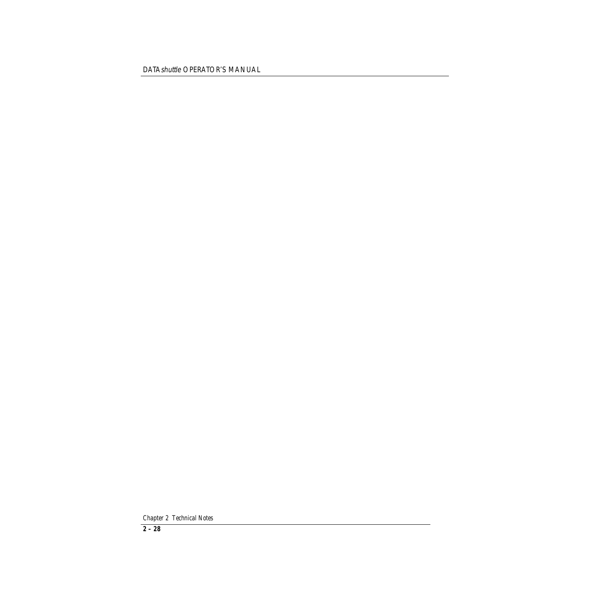*Chapter 2 Technical Notes*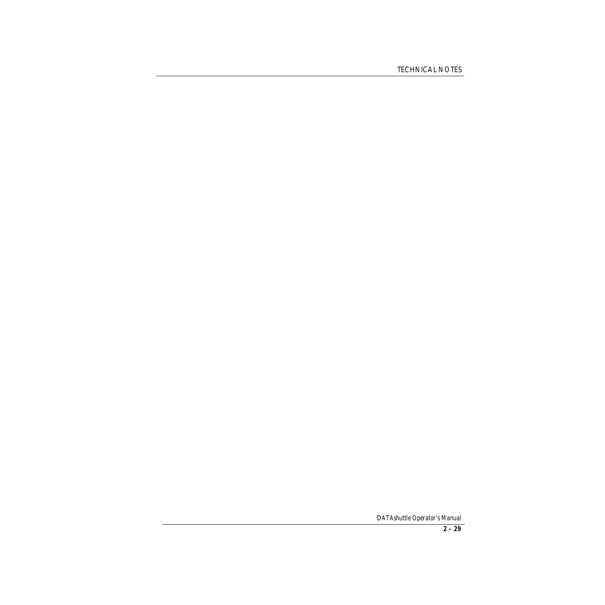*DATAshuttle Operator's Manual*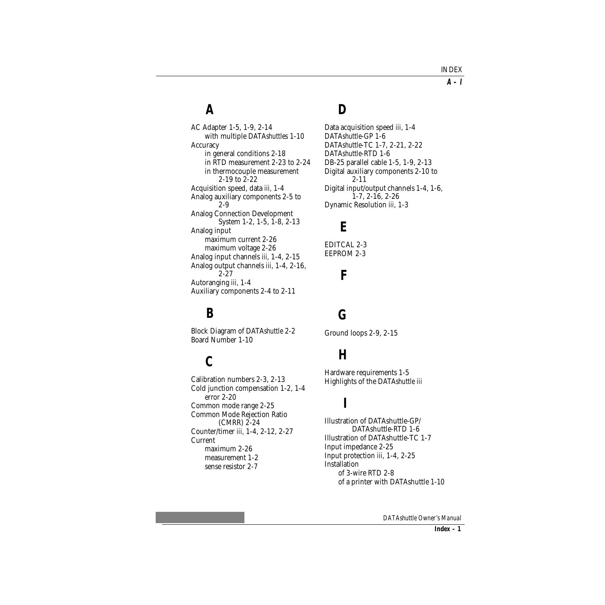# *A*

AC Adapter 1-5, 1-9, 2-14 with multiple DATA*shuttle*s 1-10 Accuracy in general conditions 2-18 in RTD measurement 2-23 to 2-24 in thermocouple measurement 2-19 to 2-22 Acquisition speed, data *iii,* 1-4 Analog auxiliary components 2-5 to 2-9 Analog Connection Development System 1-2, 1-5, 1-8, 2-13 Analog input maximum current 2-26 maximum voltage 2-26 Analog input channels *iii,* 1-4, 2-15 Analog output channels *iii*, 1-4, 2-16, 2-27 Autoranging *iii,* 1-4 Auxiliary components 2-4 to 2-11

## *B*

Block Diagram of DATA*shuttle* 2-2 Board Number 1-10

### *C*

Calibration numbers 2-3, 2-13 Cold junction compensation 1-2, 1-4 error 2-20 Common mode range 2-25 Common Mode Rejection Ratio (CMRR) 2-24 Counter/timer *iii,* 1-4, 2-12, 2-27 Current maximum 2-26 measurement 1-2 sense resistor 2-7

## *D*

Data acquisition speed *iii,* 1-4 DATA*shuttle*-GP 1-6 DATA*shuttle*-TC 1-7, 2-21, 2-22 DATA*shuttle*-RTD 1-6 DB-25 parallel cable 1-5, 1-9, 2-13 Digital auxiliary components 2-10 to 2-11 Digital input/output channels 1-4, 1-6, 1-7, 2-16, 2-26 Dynamic Resolution *iii*, 1-3

### *E*

EDITCAL 2-3 EEPROM 2-3

## *F*

# *G*

Ground loops 2-9, 2-15

## *H*

Hardware requirements 1-5 Highlights of the DATA*shuttle iii*

### *I*

Illustration of DATAshuttle-GP/ DATAshuttle-RTD 1-6 Illustration of DATAshuttle-TC 1-7 Input impedance 2-25 Input protection *iii*, 1-4, 2-25 Installation of 3-wire RTD 2-8 of a printer with DATAshuttle 1-10

*DATAshuttle Owner's Manual*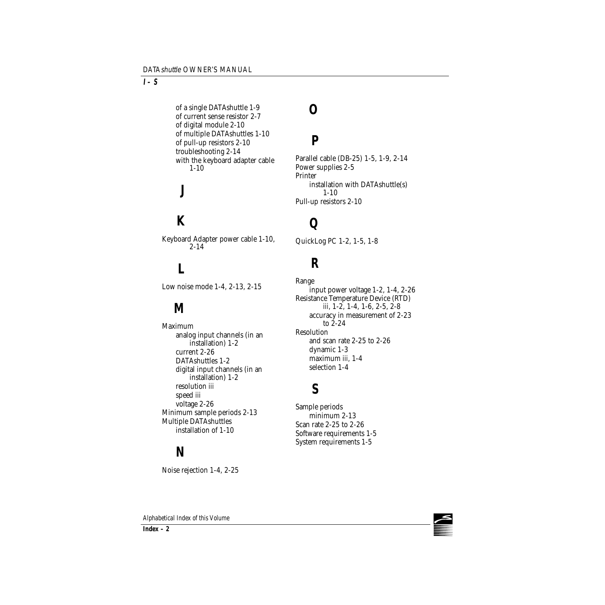### **I – S**

of a single DATAshuttle 1-9 of current sense resistor 2-7 of digital module 2-10 of multiple DATAshuttles 1-10 of pull-up resistors 2-10 troubleshooting 2-14 with the keyboard adapter cable 1-10

# *J*

# *K*

Keyboard Adapter power cable 1-10, 2-14

# *L*

Low noise mode 1-4, 2-13, 2-15

## *M*

Maximum analog input channels (in an installation) 1-2 current 2-26 DATAshuttles 1-2 digital input channels (in an installation) 1-2 resolution *iii* speed *iii* voltage 2-26 Minimum sample periods 2-13 Multiple DATAshuttles installation of 1-10

## *N*

Noise rejection 1-4, 2-25

# *O*

# *P*

Parallel cable (DB-25) 1-5, 1-9, 2-14 Power supplies 2-5 Printer installation with DATAshuttle(s) 1-10 Pull-up resistors 2-10

# *Q*

QuickLog PC 1-2, 1-5, 1-8

## *R*

Range input power voltage 1-2, 1-4, 2-26 Resistance Temperature Device (RTD) *iii,* 1-2, 1-4, 1-6, 2-5, 2-8 accuracy in measurement of 2-23 to 2-24 Resolution and scan rate 2-25 to 2-26 dynamic 1-3 maximum *iii,* 1-4 selection 1-4

## *S*

Sample periods minimum 2-13 Scan rate 2-25 to 2-26 Software requirements 1-5 System requirements 1-5